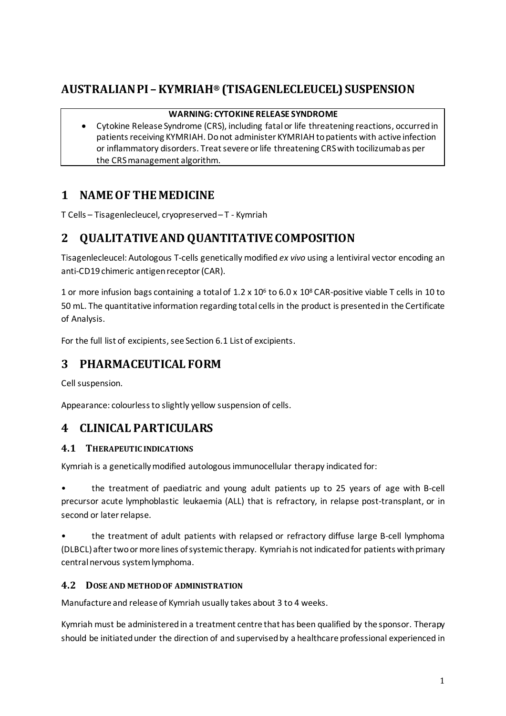# **AUSTRALIAN PI –KYMRIAH® (TISAGENLECLEUCEL) SUSPENSION**

# **WARNING: CYTOKINE RELEASE SYNDROME**

• Cytokine Release Syndrome (CRS), including fatal or life threatening reactions, occurred in patients receiving KYMRIAH. Do not administer KYMRIAH to patients with active infection or inflammatory disorders. Treat severe or life threatening CRS with tocilizumab as per the CRS management algorithm.

# **1 NAME OF THE MEDICINE**

T Cells – Tisagenlecleucel, cryopreserved – T - Kymriah

# **2 QUALITATIVE AND QUANTITATIVE COMPOSITION**

Tisagenlecleucel: Autologous T-cells genetically modified *ex vivo* using a lentiviral vector encoding an anti-CD19 chimeric antigen receptor(CAR).

1 or more infusion bags containing a total of  $1.2 \times 10^6$  to  $6.0 \times 10^8$  CAR-positive viable T cells in 10 to 50 mL. The quantitative information regarding total cells in the product is presented in the Certificate of Analysis.

For the full list of excipients, see Section 6.1 List of excipients.

# **3 PHARMACEUTICAL FORM**

Cell suspension.

Appearance: colourless to slightly yellow suspension of cells.

# **4 CLINICAL PARTICULARS**

# **4.1 THERAPEUTIC INDICATIONS**

Kymriah is a genetically modified autologous immunocellular therapy indicated for:

• the treatment of paediatric and young adult patients up to 25 years of age with B-cell precursor acute lymphoblastic leukaemia (ALL) that is refractory, in relapse post-transplant, or in second or later relapse.

• the treatment of adult patients with relapsed or refractory diffuse large B-cell lymphoma (DLBCL) after two or more lines of systemic therapy. Kymriah is not indicated for patients with primary central nervous system lymphoma.

# **4.2 DOSE AND METHOD OF ADMINISTRATION**

Manufacture and release of Kymriah usually takes about 3 to 4 weeks.

Kymriah must be administered in a treatment centre that has been qualified by the sponsor. Therapy should be initiated under the direction of and supervised by a healthcare professional experienced in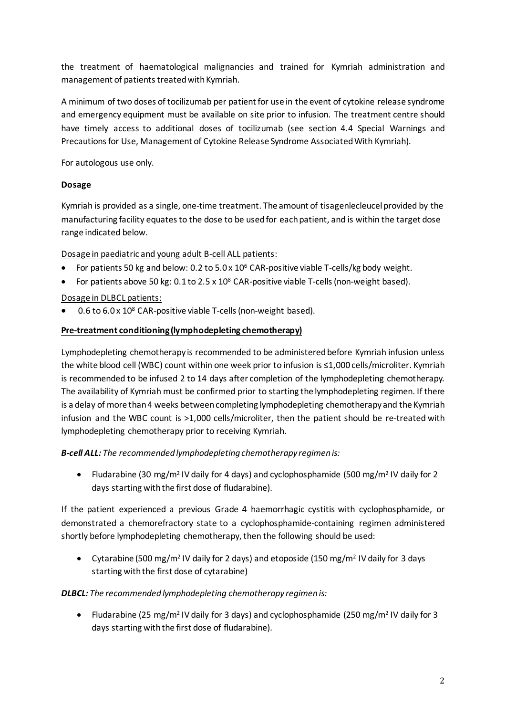the treatment of haematological malignancies and trained for Kymriah administration and management of patients treated with Kymriah.

A minimum of two doses of tocilizumab per patient for use in the event of cytokine release syndrome and emergency equipment must be available on site prior to infusion. The treatment centre should have timely access to additional doses of tocilizumab (see section 4.4 Special Warnings and Precautions for Use, Management of Cytokine Release Syndrome Associated With Kymriah).

For autologous use only.

# **Dosage**

Kymriah is provided as a single, one-time treatment. The amount of tisagenlecleucel provided by the manufacturing facility equates to the dose to be used for each patient, and is within the target dose range indicated below.

Dosage in paediatric and young adult B-cell ALL patients:

- For patients 50 kg and below: 0.2 to  $5.0 \times 10^6$  CAR-positive viable T-cells/kg body weight.
- For patients above 50 kg:  $0.1$  to  $2.5 \times 10^8$  CAR-positive viable T-cells (non-weight based).

# Dosage in DLBCL patients:

• 0.6 to 6.0 x 10<sup>8</sup> CAR-positive viable T-cells (non-weight based).

# **Pre-treatment conditioning (lymphodepleting chemotherapy)**

Lymphodepleting chemotherapy is recommended to be administered before Kymriah infusion unless the white blood cell (WBC) count within one week prior to infusion is ≤1,000 cells/microliter. Kymriah is recommended to be infused 2 to 14 days after completion of the lymphodepleting chemotherapy. The availability of Kymriah must be confirmed prior to starting the lymphodepleting regimen. If there is a delay of more than 4 weeks between completing lymphodepleting chemotherapy and the Kymriah infusion and the WBC count is >1,000 cells/microliter, then the patient should be re-treated with lymphodepleting chemotherapy prior to receiving Kymriah.

# *B-cell ALL: The recommended lymphodepleting chemotherapy regimen is:*

• Fludarabine (30 mg/m<sup>2</sup> IV daily for 4 days) and cyclophosphamide (500 mg/m<sup>2</sup> IV daily for 2 days starting with the first dose of fludarabine).

If the patient experienced a previous Grade 4 haemorrhagic cystitis with cyclophosphamide, or demonstrated a chemorefractory state to a cyclophosphamide-containing regimen administered shortly before lymphodepleting chemotherapy, then the following should be used:

• Cytarabine (500 mg/m<sup>2</sup> IV daily for 2 days) and etoposide (150 mg/m<sup>2</sup> IV daily for 3 days starting with the first dose of cytarabine)

# *DLBCL: The recommended lymphodepleting chemotherapy regimen is:*

• Fludarabine (25 mg/m<sup>2</sup> IV daily for 3 days) and cyclophosphamide (250 mg/m<sup>2</sup> IV daily for 3 days starting with the first dose of fludarabine).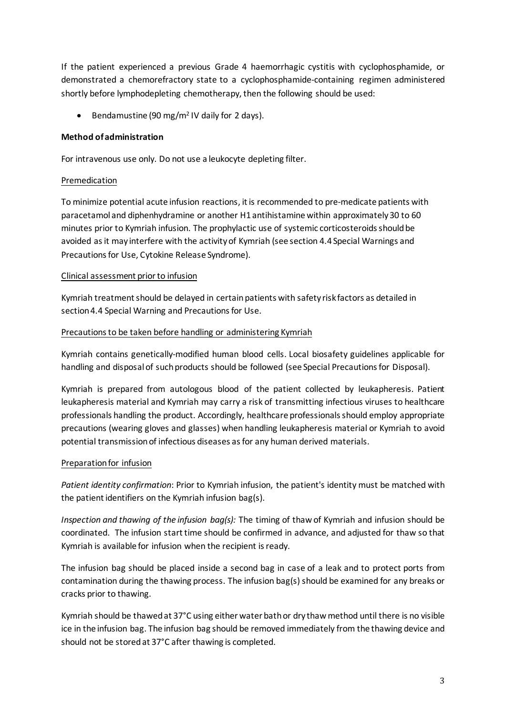If the patient experienced a previous Grade 4 haemorrhagic cystitis with cyclophosphamide, or demonstrated a chemorefractory state to a cyclophosphamide-containing regimen administered shortly before lymphodepleting chemotherapy, then the following should be used:

• Bendamustine (90 mg/m2 IV daily for 2 days).

# **Method of administration**

For intravenous use only. Do not use a leukocyte depleting filter.

# Premedication

To minimize potential acute infusion reactions, it is recommended to pre-medicate patients with paracetamol and diphenhydramine or another H1 antihistamine within approximately 30 to 60 minutes prior to Kymriah infusion. The prophylactic use of systemic corticosteroids should be avoided as it may interfere with the activity of Kymriah (see section 4.4 Special Warnings and Precautions for Use, Cytokine Release Syndrome).

# Clinical assessment prior to infusion

Kymriah treatment should be delayed in certain patients with safety risk factors as detailed in section 4.4 Special Warning and Precautions for Use.

# Precautions to be taken before handling or administering Kymriah

Kymriah contains genetically-modified human blood cells. Local biosafety guidelines applicable for handling and disposal of such products should be followed (see Special Precautions for Disposal).

Kymriah is prepared from autologous blood of the patient collected by leukapheresis. Patient leukapheresis material and Kymriah may carry a risk of transmitting infectious viruses to healthcare professionals handling the product. Accordingly, healthcare professionals should employ appropriate precautions (wearing gloves and glasses) when handling leukapheresis material or Kymriah to avoid potential transmission of infectious diseases as for any human derived materials.

# Preparation for infusion

*Patient identity confirmation*: Prior to Kymriah infusion, the patient's identity must be matched with the patient identifiers on the Kymriah infusion bag(s).

*Inspection and thawing of the infusion bag(s):* The timing of thaw of Kymriah and infusion should be coordinated. The infusion starttime should be confirmed in advance, and adjusted for thaw so that Kymriah is available for infusion when the recipient is ready.

The infusion bag should be placed inside a second bag in case of a leak and to protect ports from contamination during the thawing process. The infusion bag(s) should be examined for any breaks or cracks prior to thawing.

Kymriah should be thawed at 37°C using either water bath or dry thaw method until there is no visible ice in the infusion bag. The infusion bag should be removed immediately from the thawing device and should not be stored at 37°C after thawing is completed.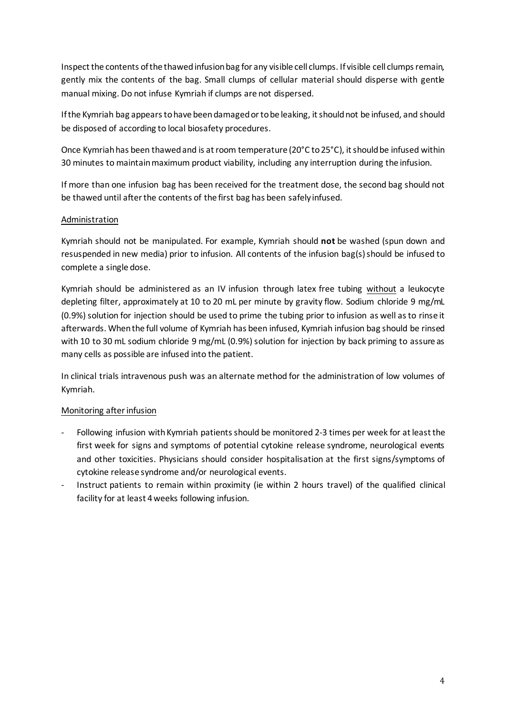Inspect the contents of the thawed infusion bag for any visible cell clumps. If visible cell clumps remain, gently mix the contents of the bag. Small clumps of cellular material should disperse with gentle manual mixing. Do not infuse Kymriah if clumps are not dispersed.

If the Kymriah bag appears to have been damaged or to be leaking, it should not be infused, and should be disposed of according to local biosafety procedures.

Once Kymriah has been thawed and is at room temperature (20°C to 25°C), it should be infused within 30 minutes to maintain maximum product viability, including any interruption during the infusion.

If more than one infusion bag has been received for the treatment dose, the second bag should not be thawed until after the contents of the first bag has been safely infused.

# Administration

Kymriah should not be manipulated. For example, Kymriah should **not** be washed (spun down and resuspended in new media) prior to infusion. All contents of the infusion bag(s) should be infused to complete a single dose.

Kymriah should be administered as an IV infusion through latex free tubing without a leukocyte depleting filter, approximately at 10 to 20 mL per minute by gravity flow. Sodium chloride 9 mg/mL (0.9%) solution for injection should be used to prime the tubing prior to infusion as well as to rinse it afterwards. When the full volume of Kymriah has been infused, Kymriah infusion bag should be rinsed with 10 to 30 mL sodium chloride 9 mg/mL (0.9%) solution for injection by back priming to assure as many cells as possible are infused into the patient.

In clinical trials intravenous push was an alternate method for the administration of low volumes of Kymriah.

# Monitoring after infusion

- Following infusion with Kymriah patients should be monitored 2-3 times per week for at least the first week for signs and symptoms of potential cytokine release syndrome, neurological events and other toxicities. Physicians should consider hospitalisation at the first signs/symptoms of cytokine release syndrome and/or neurological events.
- Instruct patients to remain within proximity (ie within 2 hours travel) of the qualified clinical facility for at least 4 weeks following infusion.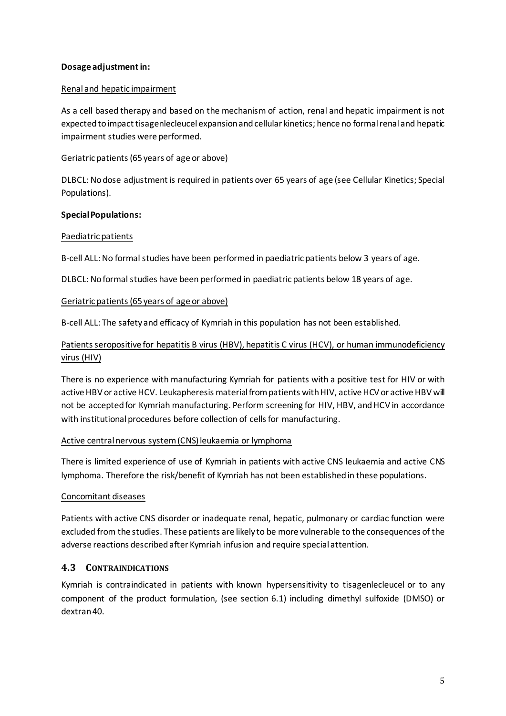# **Dosage adjustmentin:**

### Renal and hepatic impairment

As a cell based therapy and based on the mechanism of action, renal and hepatic impairment is not expected to impact tisagenlecleucel expansion and cellular kinetics; hence no formal renal and hepatic impairment studies were performed.

### Geriatric patients (65 years of age or above)

DLBCL: No dose adjustment is required in patients over 65 years of age (see Cellular Kinetics; Special Populations).

### **Special Populations:**

### Paediatric patients

B-cell ALL: No formal studies have been performed in paediatric patients below 3 years of age.

DLBCL: No formal studies have been performed in paediatric patients below 18 years of age.

### Geriatric patients (65 years of age or above)

B-cell ALL: The safety and efficacy of Kymriah in this population has not been established.

# Patients seropositive for hepatitis B virus (HBV), hepatitis C virus (HCV), or human immunodeficiency virus (HIV)

There is no experience with manufacturing Kymriah for patients with a positive test for HIV or with active HBV or active HCV. Leukapheresis material from patients with HIV, active HCV or active HBV will not be accepted for Kymriah manufacturing. Perform screening for HIV, HBV, and HCV in accordance with institutional procedures before collection of cells for manufacturing.

#### Active central nervous system(CNS) leukaemia or lymphoma

There is limited experience of use of Kymriah in patients with active CNS leukaemia and active CNS lymphoma. Therefore the risk/benefit of Kymriah has not been established in these populations.

# Concomitant diseases

Patients with active CNS disorder or inadequate renal, hepatic, pulmonary or cardiac function were excluded from the studies. These patients are likely to be more vulnerable to the consequences of the adverse reactions described after Kymriah infusion and require special attention.

# **4.3 CONTRAINDICATIONS**

Kymriah is contraindicated in patients with known hypersensitivity to tisagenlecleucel or to any component of the product formulation, (see section 6.1) including dimethyl sulfoxide (DMSO) or dextran 40.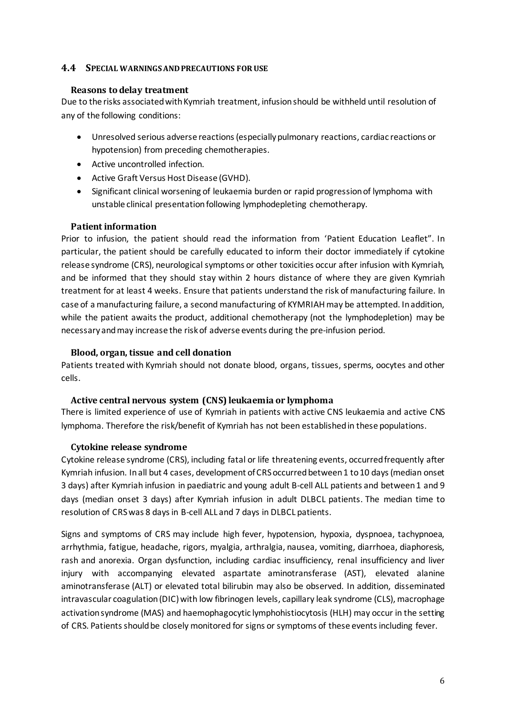# **4.4 SPECIAL WARNINGS AND PRECAUTIONS FOR USE**

#### **Reasons to delay treatment**

Due to the risks associated with Kymriah treatment, infusion should be withheld until resolution of any of the following conditions:

- Unresolved serious adverse reactions (especially pulmonary reactions, cardiac reactions or hypotension) from preceding chemotherapies.
- Active uncontrolled infection.
- Active Graft Versus Host Disease (GVHD).
- Significant clinical worsening of leukaemia burden or rapid progression of lymphoma with unstable clinical presentation following lymphodepleting chemotherapy.

### **Patient information**

Prior to infusion, the patient should read the information from 'Patient Education Leaflet". In particular, the patient should be carefully educated to inform their doctor immediately if cytokine release syndrome (CRS), neurological symptoms or other toxicities occur after infusion with Kymriah, and be informed that they should stay within 2 hours distance of where they are given Kymriah treatment for at least 4 weeks. Ensure that patients understand the risk of manufacturing failure. In case of a manufacturing failure, a second manufacturing of KYMRIAH may be attempted. In addition, while the patient awaits the product, additional chemotherapy (not the lymphodepletion) may be necessary and may increase the risk of adverse events during the pre-infusion period.

# **Blood, organ, tissue and cell donation**

Patients treated with Kymriah should not donate blood, organs, tissues, sperms, oocytes and other cells.

# **Active central nervous system (CNS) leukaemia or lymphoma**

There is limited experience of use of Kymriah in patients with active CNS leukaemia and active CNS lymphoma. Therefore the risk/benefit of Kymriah has not been established in these populations.

# **Cytokine release syndrome**

Cytokine release syndrome (CRS), including fatal or life threatening events, occurred frequently after Kymriah infusion. In all but 4 cases, development of CRS occurred between 1 to 10 days (median onset 3 days) after Kymriah infusion in paediatric and young adult B-cell ALL patients and between 1 and 9 days (median onset 3 days) after Kymriah infusion in adult DLBCL patients. The median time to resolution of CRS was 8 days in B-cell ALL and 7 days in DLBCL patients.

Signs and symptoms of CRS may include high fever, hypotension, hypoxia, dyspnoea, tachypnoea, arrhythmia, fatigue, headache, rigors, myalgia, arthralgia, nausea, vomiting, diarrhoea, diaphoresis, rash and anorexia. Organ dysfunction, including cardiac insufficiency, renal insufficiency and liver injury with accompanying elevated aspartate aminotransferase (AST), elevated alanine aminotransferase (ALT) or elevated total bilirubin may also be observed. In addition, disseminated intravascular coagulation (DIC) with low fibrinogen levels, capillary leak syndrome (CLS), macrophage activation syndrome (MAS) and haemophagocytic lymphohistiocytosis (HLH) may occur in the setting of CRS. Patients should be closely monitored for signs or symptoms of these events including fever.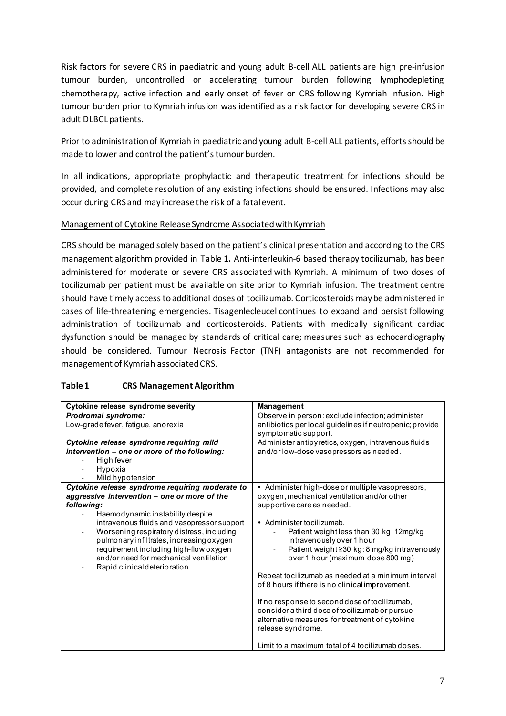Risk factors for severe CRS in paediatric and young adult B-cell ALL patients are high pre-infusion tumour burden, uncontrolled or accelerating tumour burden following lymphodepleting chemotherapy, active infection and early onset of fever or CRS following Kymriah infusion. High tumour burden prior to Kymriah infusion was identified as a risk factor for developing severe CRS in adult DLBCL patients.

Prior to administration of Kymriah in paediatric and young adult B-cell ALL patients, efforts should be made to lower and control the patient's tumour burden.

In all indications, appropriate prophylactic and therapeutic treatment for infections should be provided, and complete resolution of any existing infections should be ensured. Infections may also occur during CRS and may increase the risk of a fatal event.

# Management of Cytokine Release Syndrome Associated with Kymriah

CRS should be managed solely based on the patient's clinical presentation and according to the CRS management algorithm provided in Table 1**.** Anti-interleukin-6 based therapy tocilizumab, has been administered for moderate or severe CRS associated with Kymriah. A minimum of two doses of tocilizumab per patient must be available on site prior to Kymriah infusion. The treatment centre should have timely access to additional doses of tocilizumab. Corticosteroids may be administered in cases of life-threatening emergencies. Tisagenlecleucel continues to expand and persist following administration of tocilizumab and corticosteroids. Patients with medically significant cardiac dysfunction should be managed by standards of critical care; measures such as echocardiography should be considered. Tumour Necrosis Factor (TNF) antagonists are not recommended for management of Kymriah associated CRS.

| Cytokine release syndrome severity                                                                                                                                                                                                                                                                                                                                                                           | <b>Management</b>                                                                                                                                                                                                                                                                                                                                                                                                                                                                                                                                                                                            |
|--------------------------------------------------------------------------------------------------------------------------------------------------------------------------------------------------------------------------------------------------------------------------------------------------------------------------------------------------------------------------------------------------------------|--------------------------------------------------------------------------------------------------------------------------------------------------------------------------------------------------------------------------------------------------------------------------------------------------------------------------------------------------------------------------------------------------------------------------------------------------------------------------------------------------------------------------------------------------------------------------------------------------------------|
| Prodromal syndrome:                                                                                                                                                                                                                                                                                                                                                                                          | Observe in person: exclude infection; administer                                                                                                                                                                                                                                                                                                                                                                                                                                                                                                                                                             |
| Low-grade fever, fatigue, anorexia                                                                                                                                                                                                                                                                                                                                                                           | antibiotics per local guidelines if neutropenic; provide                                                                                                                                                                                                                                                                                                                                                                                                                                                                                                                                                     |
|                                                                                                                                                                                                                                                                                                                                                                                                              | symptomatic support.                                                                                                                                                                                                                                                                                                                                                                                                                                                                                                                                                                                         |
| Cytokine release syndrome requiring mild                                                                                                                                                                                                                                                                                                                                                                     | Administer antipyretics, oxygen, intravenous fluids                                                                                                                                                                                                                                                                                                                                                                                                                                                                                                                                                          |
| intervention - one or more of the following:                                                                                                                                                                                                                                                                                                                                                                 | and/or low-dose vasopressors as needed.                                                                                                                                                                                                                                                                                                                                                                                                                                                                                                                                                                      |
| High fever                                                                                                                                                                                                                                                                                                                                                                                                   |                                                                                                                                                                                                                                                                                                                                                                                                                                                                                                                                                                                                              |
| Hypoxia                                                                                                                                                                                                                                                                                                                                                                                                      |                                                                                                                                                                                                                                                                                                                                                                                                                                                                                                                                                                                                              |
| Mild hypotension                                                                                                                                                                                                                                                                                                                                                                                             |                                                                                                                                                                                                                                                                                                                                                                                                                                                                                                                                                                                                              |
| Cytokine release syndrome requiring moderate to<br>aggressive intervention - one or more of the<br>following:<br>Haemodynamic instability despite<br>intravenous fluids and vasopressor support<br>Worsening respiratory distress, including<br>pulmonary infiltrates, increasing oxygen<br>requirement including high-flow oxygen<br>and/or need for mechanical ventilation<br>Rapid clinical deterioration | • Administer high-dose or multiple vasopressors,<br>oxygen, mechanical ventilation and/or other<br>supportive care as needed.<br>• Administer to cilizumab.<br>Patient weight less than 30 kg: 12mg/kg<br>intravenously over 1 hour<br>Patient weight ≥30 kg: 8 mg/kg intravenously<br>over 1 hour (maximum dose 800 mg)<br>Repeat to cilizumab as needed at a minimum interval<br>of 8 hours if there is no clinical improvement.<br>If no response to second dose of tocilizumab,<br>consider a third dose of tocilizumab or pursue<br>alternative measures for treatment of cytokine<br>release syndrome. |
|                                                                                                                                                                                                                                                                                                                                                                                                              | Limit to a maximum total of 4 tocilizumab doses.                                                                                                                                                                                                                                                                                                                                                                                                                                                                                                                                                             |

# **Table 1 CRS Management Algorithm**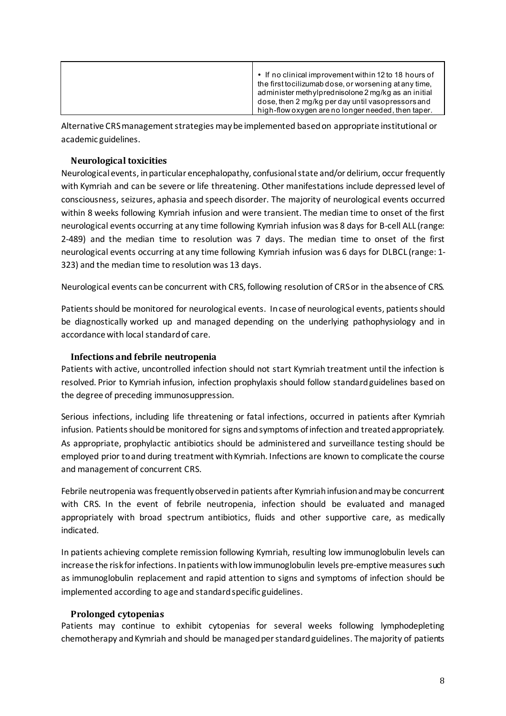|  | • If no clinical improvement within 12 to 18 hours of<br>the first tocilizumab dose, or worsening at any time,<br>administer methylprednisolone 2 mg/kg as an initial<br>dose, then 2 mg/kg per day until vasopressors and<br>high-flow oxygen are no longer needed, then taper. |
|--|----------------------------------------------------------------------------------------------------------------------------------------------------------------------------------------------------------------------------------------------------------------------------------|
|--|----------------------------------------------------------------------------------------------------------------------------------------------------------------------------------------------------------------------------------------------------------------------------------|

Alternative CRS management strategies may be implemented based on appropriate institutional or academic guidelines.

# **Neurological toxicities**

Neurological events, in particular encephalopathy, confusional state and/or delirium, occur frequently with Kymriah and can be severe or life threatening. Other manifestations include depressed level of consciousness, seizures, aphasia and speech disorder. The majority of neurological events occurred within 8 weeks following Kymriah infusion and were transient. The median time to onset of the first neurological events occurring at any time following Kymriah infusion was 8 days for B-cell ALL (range: 2-489) and the median time to resolution was 7 days. The median time to onset of the first neurological events occurring at any time following Kymriah infusion was 6 days for DLBCL (range: 1- 323) and the median time to resolution was 13 days.

Neurological events can be concurrent with CRS, following resolution of CRS or in the absence of CRS.

Patients should be monitored for neurological events. In case of neurological events, patients should be diagnostically worked up and managed depending on the underlying pathophysiology and in accordance with local standard of care.

### **Infections and febrile neutropenia**

Patients with active, uncontrolled infection should not start Kymriah treatment until the infection is resolved. Prior to Kymriah infusion, infection prophylaxis should follow standard guidelines based on the degree of preceding immunosuppression.

Serious infections, including life threatening or fatal infections, occurred in patients after Kymriah infusion. Patients should be monitored for signs and symptoms of infection and treated appropriately. As appropriate, prophylactic antibiotics should be administered and surveillance testing should be employed prior to and during treatment with Kymriah. Infections are known to complicate the course and management of concurrent CRS.

Febrile neutropenia was frequently observed in patients after Kymriah infusion and may be concurrent with CRS. In the event of febrile neutropenia, infection should be evaluated and managed appropriately with broad spectrum antibiotics, fluids and other supportive care, as medically indicated.

In patients achieving complete remission following Kymriah, resulting low immunoglobulin levels can increase the risk for infections. In patients with low immunoglobulin levels pre-emptive measures such as immunoglobulin replacement and rapid attention to signs and symptoms of infection should be implemented according to age and standard specific guidelines.

#### **Prolonged cytopenias**

Patients may continue to exhibit cytopenias for several weeks following lymphodepleting chemotherapy and Kymriah and should be managed per standard guidelines. The majority of patients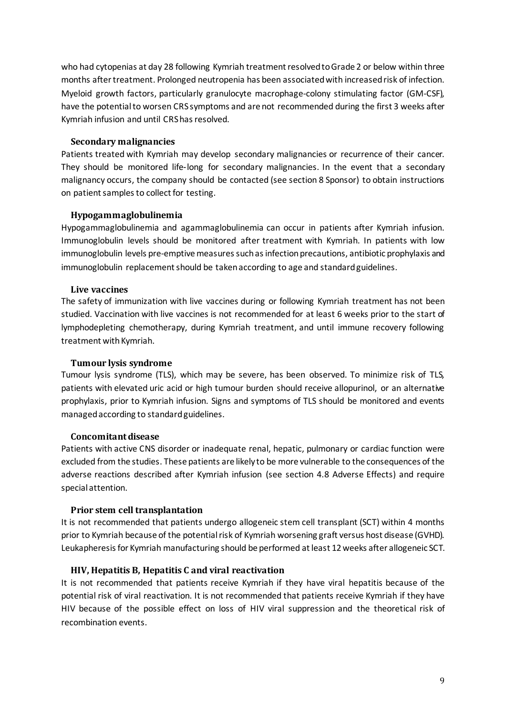who had cytopenias at day 28 following Kymriah treatment resolved to Grade 2 or below within three months after treatment. Prolonged neutropenia has been associated with increased risk of infection. Myeloid growth factors, particularly granulocyte macrophage-colony stimulating factor (GM-CSF), have the potential to worsen CRS symptoms and are not recommended during the first 3 weeks after Kymriah infusion and until CRS has resolved.

#### **Secondary malignancies**

Patients treated with Kymriah may develop secondary malignancies or recurrence of their cancer. They should be monitored life-long for secondary malignancies. In the event that a secondary malignancy occurs, the company should be contacted (see section 8 Sponsor) to obtain instructions on patient samples to collect for testing.

# **Hypogammaglobulinemia**

Hypogammaglobulinemia and agammaglobulinemia can occur in patients after Kymriah infusion. Immunoglobulin levels should be monitored after treatment with Kymriah. In patients with low immunoglobulin levels pre-emptive measures such as infection precautions, antibiotic prophylaxis and immunoglobulin replacement should be taken according to age and standard guidelines.

### **Live vaccines**

The safety of immunization with live vaccines during or following Kymriah treatment has not been studied. Vaccination with live vaccines is not recommended for at least 6 weeks prior to the start of lymphodepleting chemotherapy, during Kymriah treatment, and until immune recovery following treatment with Kymriah.

### **Tumour lysis syndrome**

Tumour lysis syndrome (TLS), which may be severe, has been observed. To minimize risk of TLS, patients with elevated uric acid or high tumour burden should receive allopurinol, or an alternative prophylaxis, prior to Kymriah infusion. Signs and symptoms of TLS should be monitored and events managed according to standard guidelines.

#### **Concomitant disease**

Patients with active CNS disorder or inadequate renal, hepatic, pulmonary or cardiac function were excluded from the studies. These patients are likely to be more vulnerable to the consequences of the adverse reactions described after Kymriah infusion (see section 4.8 Adverse Effects) and require special attention.

# **Prior stem cell transplantation**

It is not recommended that patients undergo allogeneic stem cell transplant (SCT) within 4 months prior to Kymriah because of the potential risk of Kymriah worsening graft versus host disease (GVHD). Leukapheresis for Kymriah manufacturing should be performed at least 12 weeks after allogeneic SCT.

# **HIV, Hepatitis B, Hepatitis C and viral reactivation**

It is not recommended that patients receive Kymriah if they have viral hepatitis because of the potential risk of viral reactivation. It is not recommended that patients receive Kymriah if they have HIV because of the possible effect on loss of HIV viral suppression and the theoretical risk of recombination events.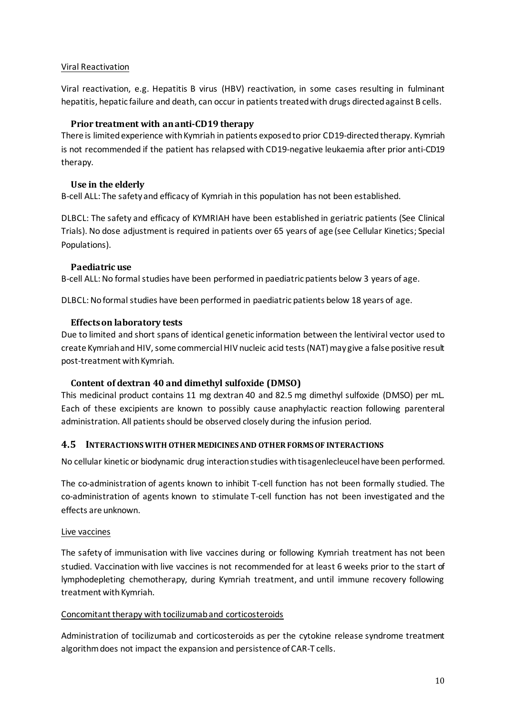# Viral Reactivation

Viral reactivation, e.g. Hepatitis B virus (HBV) reactivation, in some cases resulting in fulminant hepatitis, hepatic failure and death, can occur in patients treated with drugs directed against B cells.

# **Prior treatment with an anti-CD19 therapy**

There is limited experience with Kymriah in patients exposed to prior CD19-directed therapy. Kymriah is not recommended if the patient has relapsed with CD19-negative leukaemia after prior anti-CD19 therapy.

# **Use in the elderly**

B-cell ALL: The safety and efficacy of Kymriah in this population has not been established.

DLBCL: The safety and efficacy of KYMRIAH have been established in geriatric patients (See Clinical Trials). No dose adjustment is required in patients over 65 years of age (see Cellular Kinetics; Special Populations).

# **Paediatric use**

B-cell ALL: No formal studies have been performed in paediatric patients below 3 years of age.

DLBCL: No formal studies have been performed in paediatric patients below 18 years of age.

# **Effects on laboratory tests**

Due to limited and short spans of identical genetic information between the lentiviral vector used to create Kymriah and HIV, some commercial HIV nucleic acid tests (NAT) may give a false positive result post-treatment with Kymriah.

# **Content of dextran 40 and dimethyl sulfoxide (DMSO)**

This medicinal product contains 11 mg dextran 40 and 82.5 mg dimethyl sulfoxide (DMSO) per mL. Each of these excipients are known to possibly cause anaphylactic reaction following parenteral administration. All patients should be observed closely during the infusion period.

# **4.5 INTERACTIONS WITH OTHER MEDICINES AND OTHER FORMS OF INTERACTIONS**

No cellular kinetic or biodynamic drug interaction studies with tisagenlecleucel have been performed.

The co-administration of agents known to inhibit T-cell function has not been formally studied. The co-administration of agents known to stimulate T-cell function has not been investigated and the effects are unknown.

# Live vaccines

The safety of immunisation with live vaccines during or following Kymriah treatment has not been studied. Vaccination with live vaccines is not recommended for at least 6 weeks prior to the start of lymphodepleting chemotherapy, during Kymriah treatment, and until immune recovery following treatment with Kymriah.

# Concomitant therapy with tocilizumab and corticosteroids

Administration of tocilizumab and corticosteroids as per the cytokine release syndrome treatment algorithm does not impact the expansion and persistence of CAR-T cells.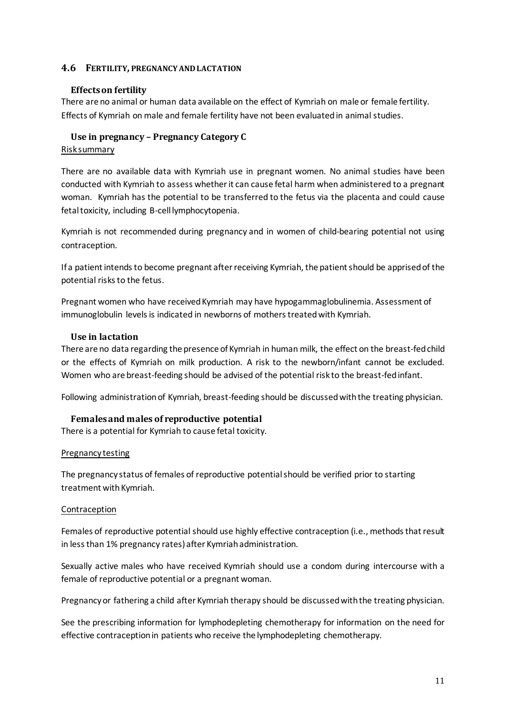# **4.6 FERTILITY, PREGNANCY AND LACTATION**

# **Effects on fertility**

There are no animal or human data available on the effect of Kymriah on male or female fertility. Effects of Kymriah on male and female fertility have not been evaluated in animal studies.

### **Use in pregnancy – Pregnancy Category C** Risk summary

There are no available data with Kymriah use in pregnant women. No animal studies have been conducted with Kymriah to assess whether it can cause fetal harm when administered to a pregnant woman. Kymriah has the potential to be transferred to the fetus via the placenta and could cause fetal toxicity, including B-cell lymphocytopenia.

Kymriah is not recommended during pregnancy and in women of child-bearing potential not using contraception.

If a patient intends to become pregnant after receiving Kymriah, the patient should be apprised of the potential risks to the fetus.

Pregnant women who have received Kymriah may have hypogammaglobulinemia. Assessment of immunoglobulin levels is indicated in newborns of mothers treated with Kymriah.

# **Use in lactation**

There are no data regarding the presence of Kymriah in human milk, the effect on the breast-fed child or the effects of Kymriah on milk production. A risk to the newborn/infant cannot be excluded. Women who are breast-feeding should be advised of the potential risk to the breast-fed infant.

Following administration of Kymriah, breast-feeding should be discussed with the treating physician.

# **Females and males of reproductive potential**

There is a potential for Kymriah to cause fetal toxicity.

#### Pregnancy testing

The pregnancy status of females of reproductive potential should be verified prior to starting treatment with Kymriah.

#### Contraception

Females of reproductive potential should use highly effective contraception (i.e., methods that result in less than 1% pregnancy rates) after Kymriah administration.

Sexually active males who have received Kymriah should use a condom during intercourse with a female of reproductive potential or a pregnant woman.

Pregnancy or fathering a child after Kymriah therapy should be discussed with the treating physician.

See the prescribing information for lymphodepleting chemotherapy for information on the need for effective contraception in patients who receive the lymphodepleting chemotherapy.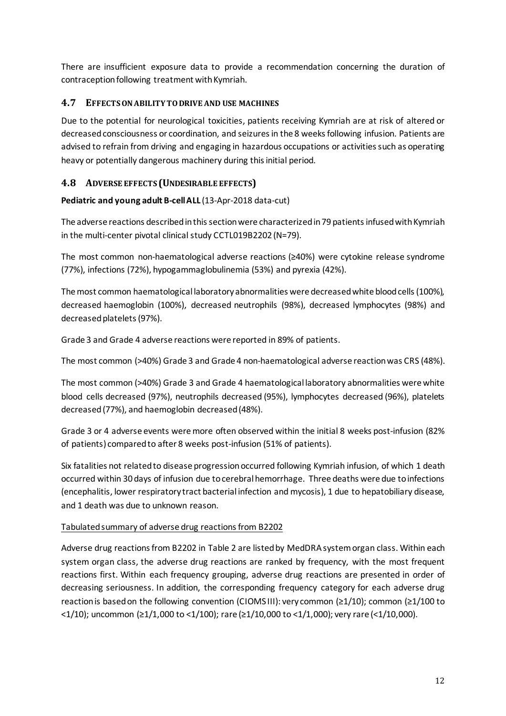There are insufficient exposure data to provide a recommendation concerning the duration of contraception following treatment with Kymriah.

# **4.7 EFFECTS ON ABILITY TO DRIVE AND USE MACHINES**

Due to the potential for neurological toxicities, patients receiving Kymriah are at risk of altered or decreased consciousness or coordination, and seizures in the 8 weeks following infusion. Patients are advised to refrain from driving and engaging in hazardous occupations or activities such as operating heavy or potentially dangerous machinery during this initial period.

# **4.8 ADVERSE EFFECTS (UNDESIRABLE EFFECTS)**

# **Pediatric and young adult B-cell ALL** (13-Apr-2018 data-cut)

The adverse reactions described in this section were characterized in 79 patientsinfused with Kymriah in the multi-center pivotal clinical study CCTL019B2202 (N=79).

The most common non-haematological adverse reactions (≥40%) were cytokine release syndrome (77%), infections (72%), hypogammaglobulinemia (53%) and pyrexia (42%).

The most common haematological laboratory abnormalities were decreased white blood cells (100%), decreased haemoglobin (100%), decreased neutrophils (98%), decreased lymphocytes (98%) and decreased platelets (97%).

Grade 3 and Grade 4 adverse reactions were reported in 89% of patients.

The most common (>40%) Grade 3 and Grade 4 non-haematological adverse reaction was CRS (48%).

The most common (>40%) Grade 3 and Grade 4 haematological laboratory abnormalities were white blood cells decreased (97%), neutrophils decreased (95%), lymphocytes decreased (96%), platelets decreased (77%), and haemoglobin decreased (48%).

Grade 3 or 4 adverse events were more often observed within the initial 8 weeks post-infusion (82% of patients) compared to after 8 weeks post-infusion (51% of patients).

Six fatalities not related to disease progression occurred following Kymriah infusion, of which 1 death occurred within 30 days of infusion due to cerebral hemorrhage. Three deaths were due to infections (encephalitis, lower respiratory tract bacterial infection and mycosis), 1 due to hepatobiliary disease, and 1 death was due to unknown reason.

# Tabulated summary of adverse drug reactions from B2202

Adverse drug reactions from B2202 in Table 2 are listed by MedDRA system organ class. Within each system organ class, the adverse drug reactions are ranked by frequency, with the most frequent reactions first. Within each frequency grouping, adverse drug reactions are presented in order of decreasing seriousness. In addition, the corresponding frequency category for each adverse drug reaction is based on the following convention (CIOMS III): very common (≥1/10); common (≥1/100 to  $\langle 1/10 \rangle$ ; uncommon (≥1/1,000 to  $\langle 1/100 \rangle$ ; rare (≥1/10,000 to  $\langle 1/1,000 \rangle$ ; very rare (<1/10,000).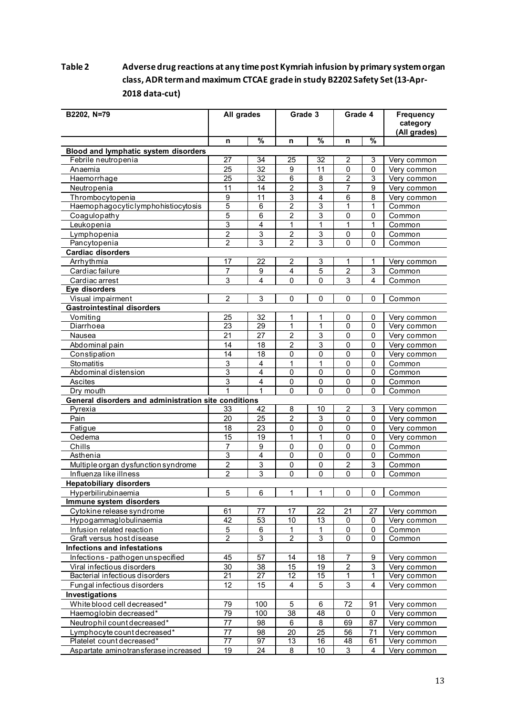# **Table 2 Adverse drug reactions at any time post Kymriah infusion by primary system organ class, ADR term and maximum CTCAE grade in study B2202 Safety Set(13-Apr-2018 data-cut)**

| B2202, N=79                                          | All grades            |                 | Grade 3         |                   | Grade 4           |                            | <b>Frequency</b><br>category<br>(All grades) |
|------------------------------------------------------|-----------------------|-----------------|-----------------|-------------------|-------------------|----------------------------|----------------------------------------------|
|                                                      | n                     | $\frac{9}{6}$   | n               | %                 | n                 | %                          |                                              |
| Blood and lymphatic system disorders                 |                       |                 |                 |                   |                   |                            |                                              |
| Febrile neutropenia                                  | 27                    | 34              | 25              | 32                | 2                 | 3                          | Very common                                  |
| Anaemia                                              | 25                    | 32              | 9               | 11                | 0                 | 0                          | Very common                                  |
| Haemorrhage                                          | $\overline{25}$       | $\overline{32}$ | 6               | 8                 | $\overline{2}$    | 3                          | Very common                                  |
| Neutropenia                                          | 11                    | 14              | $\overline{c}$  | 3                 | $\overline{7}$    | 9                          | Very common                                  |
| Thrombocytopenia                                     | 9                     | 11              | 3               | 4                 | 6                 | 8                          | Very common                                  |
| Haemophagocyticlymphohistiocytosis                   | $\overline{5}$        | 6               | $\overline{2}$  | $\overline{3}$    | $\mathbf{1}$      | 1                          | Common                                       |
| Coagulopathy                                         | 5                     | 6               | 2               | 3                 | 0                 | 0                          | Common                                       |
| Leukopenia                                           | $\overline{3}$        | $\overline{4}$  | 1               | $\mathbf{1}$      | 1                 | 1                          | Common                                       |
| Lymphopenia                                          | $\overline{c}$        | 3               | 2               | 3                 | 0                 | 0                          | Common                                       |
| Pancytopenia                                         | $\overline{2}$        | 3               | $\overline{c}$  | 3                 | $\mathbf{0}$      | 0                          | Common                                       |
| <b>Cardiac disorders</b>                             |                       |                 |                 |                   |                   |                            |                                              |
| Arrhythmia                                           | 17                    | 22              | 2               | 3                 | 1                 | 1                          | Very common                                  |
| Cardiac failure                                      | $\overline{7}$        | 9               | 4               | 5                 | $\overline{c}$    | 3                          | Common                                       |
| Cardiac arrest                                       | 3                     | 4               | 0               | $\Omega$          | 3                 | 4                          | Common                                       |
| Eye disorders                                        |                       |                 |                 |                   |                   |                            |                                              |
| Visual impairment                                    | $\overline{2}$        | 3               | $\mathbf 0$     | $\mathbf 0$       | $\mathbf{0}$      | 0                          | Common                                       |
| <b>Gastrointestinal disorders</b>                    |                       |                 |                 |                   |                   |                            |                                              |
| Vomiting                                             | 25                    | 32              | 1               | 1                 | 0                 | 0                          | Very common                                  |
| Diarrhoea                                            | $\overline{23}$       | 29              | $\mathbf{1}$    | $\mathbf{1}$      | $\mathbf 0$       | $\mathbf 0$                | Very common                                  |
| Nausea                                               | 21                    | 27              | $\overline{c}$  | 3                 | $\mathbf 0$       | $\mathbf 0$                | Very common                                  |
| Abdominal pain                                       | 14                    | 18              | 2               | 3                 | 0                 | $\mathbf 0$                | Very common                                  |
| Constipation                                         | 14                    | 18              | 0               | 0                 | 0                 | 0                          | Very common                                  |
| Stomatitis                                           | 3                     | 4               | 1               | 1                 | 0                 | 0                          | Common                                       |
| Abdominal distension                                 | 3                     | 4               | 0               | 0                 | $\mathbf 0$       | 0                          | Common                                       |
| Ascites                                              | 3                     | 4               | 0               | 0                 | 0                 | 0                          | Common                                       |
| Dry mouth                                            | 1                     | 1               | 0               | $\Omega$          | $\mathbf{0}$      | 0                          | Common                                       |
| General disorders and administration site conditions |                       |                 |                 |                   |                   |                            |                                              |
| Pyrexia                                              | 33                    | 42              | 8               | 10                | 2<br>$\mathbf{0}$ | 3<br>$\mathbf{0}$          | Very common                                  |
| Pain                                                 | 20                    | 25              | $\overline{2}$  | 3                 |                   |                            | Very common                                  |
| Fatigue                                              | 18<br>$\overline{15}$ | 23<br>19        | $\pmb{0}$<br>1  | 0<br>$\mathbf{1}$ | 0<br>0            | $\mathbf 0$<br>$\mathbf 0$ | Very common                                  |
| Oedema                                               |                       |                 |                 |                   |                   | 0                          | Very common                                  |
| Chills<br>Asthenia                                   | $\overline{7}$<br>3   | 9<br>4          | $\pmb{0}$<br>0  | $\pmb{0}$<br>0    | 0<br>0            | 0                          | Common<br>Common                             |
| Multiple organ dysfunction syndrome                  | $\overline{c}$        | 3               | 0               | $\pmb{0}$         | $\overline{c}$    | 3                          | Common                                       |
| Influenza like illness                               | $\overline{c}$        | 3               | 0               | $\mathbf{0}$      | $\mathbf{0}$      | 0                          | Common                                       |
| <b>Hepatobiliary disorders</b>                       |                       |                 |                 |                   |                   |                            |                                              |
| Hyperbilirubinaemia                                  | 5                     | 6               | 1               | 1                 | 0                 | 0                          | Common                                       |
| Immune system disorders                              |                       |                 |                 |                   |                   |                            |                                              |
| Cytokine release syndrome                            | 61                    | 77              | 17              | 22                | 21                | 27                         | Very common                                  |
| Hypogammaglobulinaemia                               | $\overline{42}$       | 53              | 10              | $\overline{13}$   | $\mathbf 0$       | $\mathbf 0$                | Very common                                  |
| Infusion related reaction                            | 5                     | $\,6$           | 1               | $\mathbf{1}$      | $\pmb{0}$         | $\pmb{0}$                  | Common                                       |
| Graft versus host disease                            | $\overline{2}$        | 3               | $\overline{2}$  | 3                 | $\mathbf 0$       | $\mathbf 0$                | Common                                       |
| <b>Infections and infestations</b>                   |                       |                 |                 |                   |                   |                            |                                              |
| Infections - pathogen unspecified                    | 45                    | 57              | 14              | 18                | 7                 | 9                          | Very common                                  |
| Viral infectious disorders                           | 30                    | 38              | 15              | 19                | 2                 | 3                          | Very common                                  |
| Bacterial infectious disorders                       | $\overline{21}$       | $\overline{27}$ | $\overline{12}$ | 15                | 1                 | 1                          | Very common                                  |
| Fungal infectious disorders                          | 12                    | 15              | $\overline{4}$  | 5                 | $\sqrt{3}$        | 4                          | Very common                                  |
| Investigations                                       |                       |                 |                 |                   |                   |                            |                                              |
| White blood cell decreased*                          | 79                    | 100             | 5               | 6                 | 72                | 91                         | Very common                                  |
| Haemoglobin decreased*                               | 79                    | 100             | $\overline{38}$ | 48                | 0                 | 0                          | Very common                                  |
| Neutrophil count decreased*                          | 77                    | 98              | 6               | 8                 | 69                | 87                         | Very common                                  |
| Lymphocyte count decreased*                          | 77                    | 98              | 20              | 25                | 56                | 71                         | Very common                                  |
| Platelet count decreased*                            | $\overline{77}$       | 97              | 13              | 16                | 48                | 61                         | Very common                                  |
| Aspartate aminotransferase increased                 | 19                    | 24              | 8               | 10                | 3                 | 4                          | Very common                                  |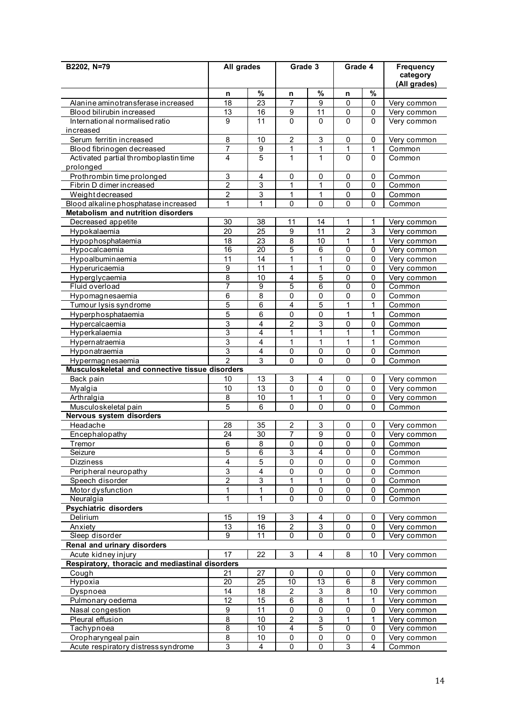| B2202, N=79                                                         | All grades                |                         | Grade 3                                     |                                | Grade 4                     |                             | <b>Frequency</b>           |
|---------------------------------------------------------------------|---------------------------|-------------------------|---------------------------------------------|--------------------------------|-----------------------------|-----------------------------|----------------------------|
|                                                                     |                           |                         |                                             |                                |                             |                             | category<br>(All grades)   |
|                                                                     | n                         | $\%$                    | n                                           | %                              | n                           | $\%$                        |                            |
| Alanine aminotransferase increased                                  | $\overline{18}$           | $\overline{23}$         | $\overline{7}$                              | 9                              | $\mathbf 0$                 | $\mathbf 0$                 | Very common                |
| Blood bilirubin increased                                           | 13                        | 16                      | 9                                           | 11                             | 0                           | $\mathbf 0$                 | Verv common                |
| International normalised ratio                                      | 9                         | 11                      | $\mathbf{0}$                                | $\Omega$                       | $\mathbf 0$                 | $\mathbf 0$                 | Very common                |
| increased                                                           |                           |                         |                                             |                                |                             |                             |                            |
| Serum ferritin increased                                            | 8<br>$\overline{7}$       | 10                      | $\overline{c}$                              | $\sqrt{3}$                     | 0                           | 0                           | Very common                |
| Blood fibrinogen decreased<br>Activated partial thromboplastin time | $\overline{4}$            | 9<br>5                  | $\mathbf{1}$<br>1                           | $\mathbf{1}$<br>1              | 1<br>0                      | 1<br>0                      | Common<br>Common           |
| prolonged                                                           |                           |                         |                                             |                                |                             |                             |                            |
| Prothrombin time prolonged                                          | $\mathsf 3$               | $\overline{\mathbf{4}}$ | $\mathbf 0$                                 | 0                              | 0                           | 0                           | Common                     |
| Fibrin D dimer increased                                            | $\overline{2}$            | 3                       | 1                                           | 1                              | 0                           | $\mathbf 0$                 | Common                     |
| Weightdecreased                                                     | $\boldsymbol{2}$          | 3                       | 1                                           | 1                              | 0                           | $\mathbf 0$                 | Common                     |
| Blood alkaline phosphatase increased                                | 1                         | 1                       | 0                                           | $\mathbf 0$                    | 0                           | 0                           | Common                     |
| Metabolism and nutrition disorders                                  |                           |                         |                                             |                                |                             |                             |                            |
| Decreased appetite                                                  | 30                        | 38                      | 11                                          | 14                             | 1                           | 1                           | Very common                |
| Hypokalaemia                                                        | 20                        | 25                      | $\boldsymbol{9}$                            | 11                             | $\overline{\mathbf{c}}$     | $\mathsf 3$                 | Very common                |
| Hypophosphataemia                                                   | 18                        | 23                      | 8                                           | 10                             | 1                           | 1                           | Very common                |
| Hypocalcaemia                                                       | 16                        | 20                      | 5                                           | 6                              | 0                           | 0                           | Very common                |
| Hypoalbuminaemia<br>Hyperuricaemia                                  | 11<br>9                   | 14<br>11                | 1<br>1                                      | 1<br>1                         | 0<br>0                      | $\mathbf 0$<br>0            | Very common<br>Very common |
|                                                                     | 8                         | 10                      | $\overline{\mathbf{4}}$                     | 5                              | 0                           | 0                           | Very common                |
| Hyperglycaemia<br>Fluid overload                                    | $\overline{7}$            | $\overline{9}$          | 5                                           | 6                              | 0                           | $\mathbf 0$                 | Common                     |
| Hypomagnesaemia                                                     | 6                         | 8                       | 0                                           | 0                              | 0                           | 0                           | Common                     |
| Tumour lysis syndrome                                               | $\overline{5}$            | 6                       | $\overline{\mathbf{4}}$                     | 5                              | $\mathbf 1$                 | 1                           | Common                     |
| Hyperphosphataemia                                                  | 5                         | 6                       | 0                                           | 0                              | 1                           | $\mathbf{1}$                | Common                     |
| Hypercalcaemia                                                      | 3                         | 4                       | $\overline{c}$                              | 3                              | 0                           | 0                           | Common                     |
| Hyperkalaemia                                                       | $\overline{3}$            | $\overline{\mathbf{4}}$ | 1                                           | 1                              | 1                           | $\mathbf{1}$                | Common                     |
| Hypernatraemia                                                      | $\ensuremath{\mathsf{3}}$ | 4                       | 1                                           | 1                              | 1                           | 1                           | Common                     |
| Hyponatraemia                                                       | 3                         | 4                       | $\pmb{0}$                                   | 0                              | 0                           | $\mathbf 0$                 | Common                     |
| Hypermagnesaemia                                                    | $\mathfrak{p}$            | 3                       | 0                                           | $\mathbf{0}$                   | $\overline{0}$              | $\Omega$                    | Common                     |
| Musculoskeletal and connective tissue disorders                     |                           |                         |                                             |                                |                             |                             |                            |
| Back pain                                                           | 10                        | 13                      | $\mathsf 3$                                 | 4                              | 0                           | 0                           | Very common                |
| Myalgia                                                             | 10<br>$\overline{8}$      | 13<br>10                | 0<br>1                                      | 0<br>1                         | 0                           | 0                           | Very common                |
| Arthralgia<br>Musculoskeletal pain                                  | 5                         | 6                       | 0                                           | 0                              | 0<br>0                      | 0<br>0                      | Very common<br>Common      |
| Nervous system disorders                                            |                           |                         |                                             |                                |                             |                             |                            |
| Headache                                                            | 28                        | 35                      | 2                                           | 3                              | 0                           | 0                           | Very common                |
| Encephalopathy                                                      | 24                        | $\overline{30}$         | 7                                           | 9                              | 0                           | 0                           | Very common                |
| Tremor                                                              | 6                         | 8                       | 0                                           | 0                              | 0                           | 0                           | Common                     |
| Seizure                                                             | $\overline{5}$            | $\overline{6}$          | $\overline{3}$                              | $\overline{4}$                 | 0                           | $\mathbf 0$                 | Common                     |
| Dizziness                                                           | $\overline{\mathbf{4}}$   | 5                       | 0                                           | 0                              | 0                           | 0                           | Common                     |
| Peripheral neuropathy                                               | $\mathsf 3$               | 4                       | $\pmb{0}$                                   | $\mathbf 0$                    | 0                           | $\pmb{0}$                   | Common                     |
| Speech disorder                                                     | $\overline{2}$            | 3                       | 1                                           | 1                              | 0                           | 0                           | Common                     |
| Motor dysfunction                                                   | 1                         | 1                       | 0                                           | 0                              | 0                           | 0                           | Common                     |
| Neuralgia                                                           | 1                         | 1                       | 0                                           | 0                              | 0                           | 0                           | Common                     |
| Psychiatric disorders                                               |                           |                         |                                             |                                |                             |                             |                            |
| Delirium                                                            | 15<br>13                  | 19<br>16                | $\ensuremath{\mathsf{3}}$<br>$\overline{c}$ | 4<br>$\ensuremath{\mathsf{3}}$ | 0<br>$\pmb{0}$              | $\pmb{0}$<br>$\pmb{0}$      | Very common                |
| Anxiety<br>Sleep disorder                                           | 9                         | 11                      | 0                                           | 0                              | 0                           | 0                           | Very common<br>Very common |
| <b>Renal and urinary disorders</b>                                  |                           |                         |                                             |                                |                             |                             |                            |
| Acute kidney injury                                                 | 17                        | 22                      | $\sqrt{3}$                                  | 4                              | 8                           | 10                          | Very common                |
| Respiratory, thoracic and mediastinal disorders                     |                           |                         |                                             |                                |                             |                             |                            |
| Cough                                                               | 21                        | 27                      | 0                                           | 0                              | 0                           | 0                           | Very common                |
| Hypoxia                                                             | 20                        | 25                      | 10                                          | $\overline{13}$                | 6                           | 8                           | Very common                |
| Dyspnoea                                                            | 14                        | 18                      | $\overline{2}$                              | $\ensuremath{\mathsf{3}}$      | 8                           | 10                          | Very common                |
| Pulmonary oedema                                                    | $\overline{12}$           | $\overline{15}$         | $\overline{6}$                              | $\overline{8}$                 | 1                           | 1                           | Very common                |
| Nasal congestion                                                    | $\boldsymbol{9}$          | 11                      | 0                                           | $\mathbf 0$                    | 0                           | $\pmb{0}$                   | Very common                |
| Pleural effusion                                                    | 8                         | 10                      | $\overline{c}$                              | $\ensuremath{\mathsf{3}}$      | $\mathbf 1$                 | $\mathbf{1}$                | Very common                |
| Tachypnoea                                                          | $\overline{\mathbf{8}}$   | 10                      | $\overline{4}$                              | $\overline{5}$                 | 0                           | 0                           | Very common                |
| Oropharyngeal pain                                                  | 8<br>$\overline{3}$       | 10<br>4                 | $\pmb{0}$<br>0                              | 0<br>0                         | $\pmb{0}$<br>$\overline{3}$ | $\pmb{0}$<br>$\overline{4}$ | Very common                |
| Acute respiratory distress syndrome                                 |                           |                         |                                             |                                |                             |                             | Common                     |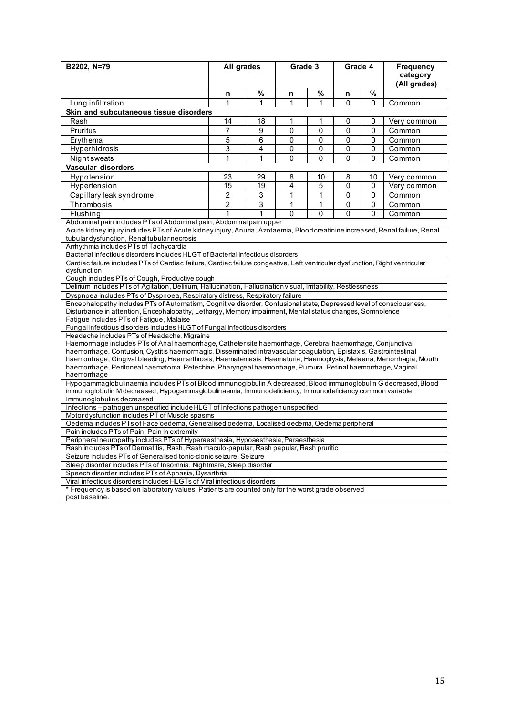| B2202, N=79                                                                                                                                                                                  | All grades                                                                                                                                                                                                                  |              |              | Grade 3      |             | Grade 4      | Frequency<br>category<br>(All grades) |
|----------------------------------------------------------------------------------------------------------------------------------------------------------------------------------------------|-----------------------------------------------------------------------------------------------------------------------------------------------------------------------------------------------------------------------------|--------------|--------------|--------------|-------------|--------------|---------------------------------------|
|                                                                                                                                                                                              | n                                                                                                                                                                                                                           | $\%$         | n            | $\%$         | n           | %            |                                       |
| Lung infiltration                                                                                                                                                                            | 1                                                                                                                                                                                                                           | 1            | 1            | $\mathbf{1}$ | $\Omega$    | $\Omega$     | Common                                |
| Skin and subcutaneous tissue disorders                                                                                                                                                       |                                                                                                                                                                                                                             |              |              |              |             |              |                                       |
| Rash                                                                                                                                                                                         | 14                                                                                                                                                                                                                          | 18           | 1            | 1            | 0           | $\mathbf{0}$ | Very common                           |
| Pruritus                                                                                                                                                                                     | $\overline{7}$                                                                                                                                                                                                              | 9            | 0            | 0            | 0           | 0            | Common                                |
| Erythema                                                                                                                                                                                     | 5                                                                                                                                                                                                                           | 6            | $\mathbf{0}$ | $\mathbf{0}$ | 0           | $\mathbf{0}$ | Common                                |
| <b>Hyperhidrosis</b>                                                                                                                                                                         | 3                                                                                                                                                                                                                           | 4            | 0            | $\mathbf{0}$ | 0           | 0            | Common                                |
| <b>Night</b> sweats                                                                                                                                                                          | 1                                                                                                                                                                                                                           | 1            | 0            | 0            | 0           | 0            | Common                                |
| Vascular disorders                                                                                                                                                                           |                                                                                                                                                                                                                             |              |              |              |             |              |                                       |
|                                                                                                                                                                                              | 23                                                                                                                                                                                                                          | 29           | 8            | 10           | 8           | 10           |                                       |
| Hypotension                                                                                                                                                                                  | 15                                                                                                                                                                                                                          | 19           | 4            | 5            | 0           |              | Very common                           |
| Hypertension                                                                                                                                                                                 |                                                                                                                                                                                                                             |              |              |              |             | 0            | Very common                           |
| Capillary leak syndrome                                                                                                                                                                      | $\overline{2}$                                                                                                                                                                                                              | 3            | 1            | $\mathbf{1}$ | 0           | 0            | Common                                |
| Thrombosis                                                                                                                                                                                   | $\overline{2}$                                                                                                                                                                                                              | 3            | 1            | 1            | 0           | 0            | Common                                |
| Flushing                                                                                                                                                                                     | 1                                                                                                                                                                                                                           | $\mathbf{1}$ | $\mathbf{0}$ | $\mathbf{0}$ | $\mathbf 0$ | $\mathbf{0}$ | Common                                |
| tubular dysfunction, Renal tubular necrosis<br>Arrhythmia includes PTs of Tachycardia                                                                                                        | Abdominal pain includes PTs of Abdominal pain, Abdominal pain upper<br>Acute kidney injury includes PTs of Acute kidney injury, Anuria, Azotaemia, Blood creatinine increased, Renal failure, Renal                         |              |              |              |             |              |                                       |
| Bacterial infectious disorders includes HLGT of Bacterial infectious disorders                                                                                                               |                                                                                                                                                                                                                             |              |              |              |             |              |                                       |
| Cardiac failure includes PTs of Cardiac failure, Cardiac failure congestive, Left ventricular dysfunction, Right ventricular<br>dysfunction<br>Cough includes PTs of Cough, Productive cough |                                                                                                                                                                                                                             |              |              |              |             |              |                                       |
| Delirium includes PTs of Agitation, Delirium, Hallucination, Hallucination visual, Irritability, Restlessness                                                                                |                                                                                                                                                                                                                             |              |              |              |             |              |                                       |
| Dyspnoea includes PTs of Dyspnoea, Respiratory distress, Respiratory failure                                                                                                                 |                                                                                                                                                                                                                             |              |              |              |             |              |                                       |
| Encephalopathy includes PTs of Automatism, Cognitive disorder, Confusional state, Depressed level of consciousness,                                                                          |                                                                                                                                                                                                                             |              |              |              |             |              |                                       |
| Disturbance in attention, Encephalopathy, Lethargy, Memory impairment, Mental status changes, Somnolence                                                                                     |                                                                                                                                                                                                                             |              |              |              |             |              |                                       |
| Fatigue includes PTs of Fatigue, Malaise                                                                                                                                                     |                                                                                                                                                                                                                             |              |              |              |             |              |                                       |
| Fungal infectious disorders includes HLGT of Fungal infectious disorders                                                                                                                     |                                                                                                                                                                                                                             |              |              |              |             |              |                                       |
| Headache includes PTs of Headache, Migraine                                                                                                                                                  |                                                                                                                                                                                                                             |              |              |              |             |              |                                       |
| Haemorrhage includes PTs of Anal haemorrhage, Catheter site haemorrhage, Cerebral haemorrhage, Conjunctival                                                                                  |                                                                                                                                                                                                                             |              |              |              |             |              |                                       |
| haemorrhage, Contusion, Cystitis haemorrhagic, Disseminated intravascular coagulation, Epistaxis, Gastrointestinal                                                                           |                                                                                                                                                                                                                             |              |              |              |             |              |                                       |
| haemorrhage, Gingival bleeding, Haemarthrosis, Haematemesis, Haematuria, Haemoptysis, Melaena, Menorrhagia, Mouth                                                                            |                                                                                                                                                                                                                             |              |              |              |             |              |                                       |
| haemorrhage, Peritoneal haematoma, Petechiae, Pharyngeal haemorrhage, Purpura, Retinal haemorrhage, Vaginal<br>haemorrhage                                                                   |                                                                                                                                                                                                                             |              |              |              |             |              |                                       |
| Immunoglobulins decreased                                                                                                                                                                    | Hypogammaglobulinaemia includes PTs of Blood immunoglobulin A decreased, Blood immunoglobulin G decreased, Blood<br>immunoglobulin M decreased, Hypogammaglobulinaemia, Immunodeficiency, Immunodeficiency common variable, |              |              |              |             |              |                                       |
|                                                                                                                                                                                              |                                                                                                                                                                                                                             |              |              |              |             |              |                                       |
| Infections - pathogen unspecified include HLGT of Infections pathogen unspecified                                                                                                            |                                                                                                                                                                                                                             |              |              |              |             |              |                                       |
| Motor dysfunction includes PT of Muscle spasms<br>Oedema includes PTs of Face oedema, Generalised oedema, Localised oedema, Oedema peripheral                                                |                                                                                                                                                                                                                             |              |              |              |             |              |                                       |
| Pain includes PTs of Pain, Pain in extremity                                                                                                                                                 |                                                                                                                                                                                                                             |              |              |              |             |              |                                       |
| Peripheral neuropathy includes PTs of Hyperaesthesia, Hypoaesthesia, Paraesthesia                                                                                                            |                                                                                                                                                                                                                             |              |              |              |             |              |                                       |
| Rash includes PTs of Dermatitis, Rash, Rash maculo-papular, Rash papular, Rash pruritic                                                                                                      |                                                                                                                                                                                                                             |              |              |              |             |              |                                       |
|                                                                                                                                                                                              | Seizure includes PTs of Generalised tonic-clonic seizure, Seizure                                                                                                                                                           |              |              |              |             |              |                                       |
| Sleep disorder includes PTs of Insomnia, Nightmare, Sleep disorder                                                                                                                           |                                                                                                                                                                                                                             |              |              |              |             |              |                                       |
| Speech disorder includes PTs of Aphasia, Dysarthria                                                                                                                                          |                                                                                                                                                                                                                             |              |              |              |             |              |                                       |
| Viral infectious disorders includes HLGTs of Viral infectious disorders                                                                                                                      |                                                                                                                                                                                                                             |              |              |              |             |              |                                       |
| * Frequency is based on laboratory values. Patients are counted only for the worst grade observed<br>post baseline.                                                                          |                                                                                                                                                                                                                             |              |              |              |             |              |                                       |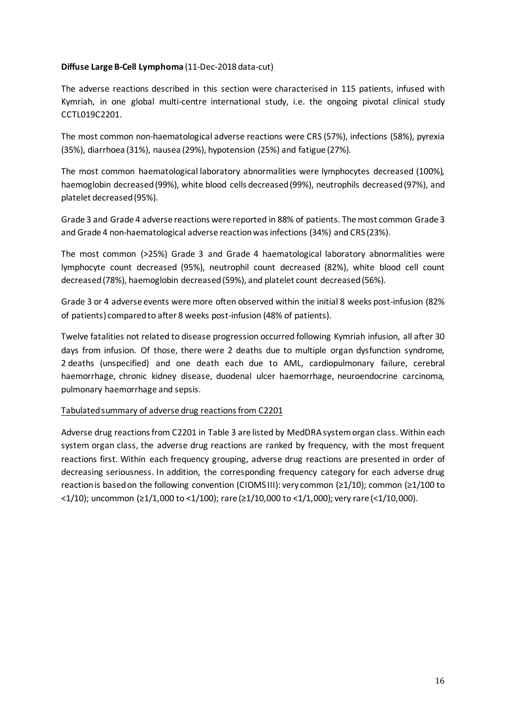# **Diffuse Large B-Cell Lymphoma** (11-Dec-2018 data-cut)

The adverse reactions described in this section were characterised in 115 patients, infused with Kymriah, in one global multi-centre international study, i.e. the ongoing pivotal clinical study CCTL019C2201.

The most common non-haematological adverse reactions were CRS (57%), infections (58%), pyrexia (35%), diarrhoea (31%), nausea (29%), hypotension (25%) and fatigue (27%).

The most common haematological laboratory abnormalities were lymphocytes decreased (100%), haemoglobin decreased (99%), white blood cells decreased (99%), neutrophils decreased (97%), and platelet decreased (95%).

Grade 3 and Grade 4 adverse reactions were reported in 88% of patients. The most common Grade 3 and Grade 4 non-haematological adverse reaction wasinfections (34%) and CRS (23%).

The most common (>25%) Grade 3 and Grade 4 haematological laboratory abnormalities were lymphocyte count decreased (95%), neutrophil count decreased (82%), white blood cell count decreased (78%), haemoglobin decreased (59%), and platelet count decreased (56%).

Grade 3 or 4 adverse events were more often observed within the initial 8 weeks post-infusion (82% of patients) compared to after 8 weeks post-infusion (48% of patients).

Twelve fatalities not related to disease progression occurred following Kymriah infusion, all after 30 days from infusion. Of those, there were 2 deaths due to multiple organ dysfunction syndrome, 2 deaths (unspecified) and one death each due to AML, cardiopulmonary failure, cerebral haemorrhage, chronic kidney disease, duodenal ulcer haemorrhage, neuroendocrine carcinoma, pulmonary haemorrhage and sepsis.

#### Tabulated summary of adverse drug reactions from C2201

Adverse drug reactions from C2201 in Table 3 are listed by MedDRA system organ class. Within each system organ class, the adverse drug reactions are ranked by frequency, with the most frequent reactions first. Within each frequency grouping, adverse drug reactions are presented in order of decreasing seriousness. In addition, the corresponding frequency category for each adverse drug reaction is based on the following convention (CIOMS III): very common (≥1/10); common (≥1/100 to  $\langle 1/10 \rangle$ ; uncommon ( $\geq 1/1,000$  to  $\langle 1/100 \rangle$ ; rare ( $\geq 1/10,000$  to  $\langle 1/1,000 \rangle$ ; very rare ( $\langle 1/10,000 \rangle$ .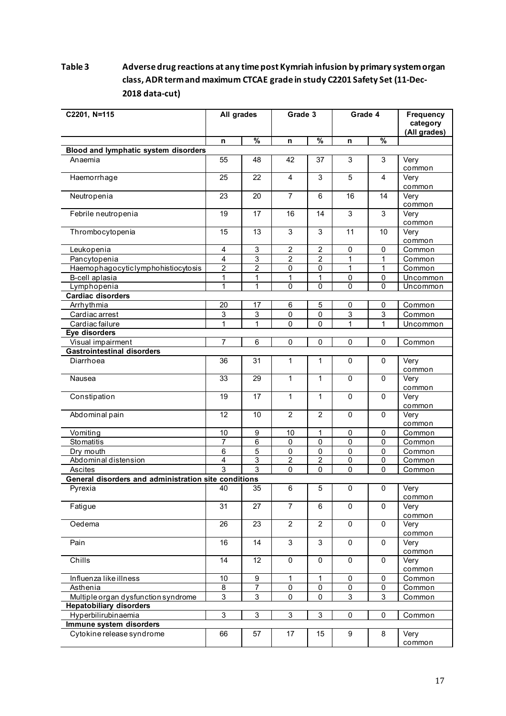# **Table 3 Adverse drug reactions at any time post Kymriah infusion by primary system organ class, ADR term and maximum CTCAE grade in study C2201 Safety Set (11-Dec-2018 data-cut)**

| C2201, N=115                                         | All grades      |                           | Grade 3          |                | Grade 4        |                | <b>Frequency</b><br>category<br>(All grades) |
|------------------------------------------------------|-----------------|---------------------------|------------------|----------------|----------------|----------------|----------------------------------------------|
|                                                      | n               | $\overline{\frac{9}{6}}$  | n                | $\frac{9}{6}$  | n              | $\frac{9}{6}$  |                                              |
| <b>Blood and lymphatic system disorders</b>          |                 |                           |                  |                |                |                |                                              |
| Anaemia                                              | 55              | 48                        | 42               | 37             | 3              | 3              | Very<br>common                               |
| Haemorrhage                                          | 25              | 22                        | 4                | 3              | 5              | $\overline{4}$ | Very<br>common                               |
| Neutropenia                                          | 23              | 20                        | $\overline{7}$   | 6              | 16             | 14             | Very<br>common                               |
| Febrile neutropenia                                  | 19              | 17                        | 16               | 14             | 3              | 3              | Very<br>common                               |
| Thrombocytopenia                                     | 15              | 13                        | 3                | 3              | 11             | 10             | Very<br>common                               |
| Leukopenia                                           | 4               | 3                         | $\boldsymbol{2}$ | $\overline{c}$ | 0              | 0              | Common                                       |
| Pancytopenia                                         | $\overline{4}$  | 3                         | $\overline{2}$   | $\overline{2}$ | $\mathbf{1}$   | 1              | Common                                       |
| Haemophagocyticlymphohistiocytosis                   | $\overline{2}$  | $\overline{2}$            | 0                | $\mathbf 0$    | $\mathbf{1}$   | 1              | Common                                       |
| B-cell aplasia                                       | 1               | 1                         | 1                | 1              | $\pmb{0}$      | 0              | Uncommon                                     |
| Lymphopenia                                          | 1               | 1                         | 0                | 0              | 0              | 0              | Uncommon                                     |
| <b>Cardiac disorders</b>                             |                 |                           |                  |                |                |                |                                              |
| Arrhythmia                                           | $\overline{20}$ | 17                        | $\overline{6}$   | $\overline{5}$ | 0              | 0              | Common                                       |
| Cardiac arrest                                       | 3               | 3                         | $\pmb{0}$        | $\mathbf 0$    | 3              | $\mathsf 3$    | Common                                       |
| Cardiac failure                                      | 1               | $\mathbf 1$               | $\mathbf 0$      | $\mathbf 0$    | $\mathbf{1}$   | 1              | Uncommon                                     |
| Eye disorders<br>Visual impairment                   | $\overline{7}$  | $6\phantom{1}6$           | $\pmb{0}$        | $\mathbf 0$    | 0              | 0              |                                              |
| <b>Gastrointestinal disorders</b>                    |                 |                           |                  |                |                |                | Common                                       |
| Diarrhoea                                            | 36              | 31                        | 1                | 1              | 0              | $\mathbf 0$    | Very<br>common                               |
| Nausea                                               | 33              | 29                        | 1                | 1              | $\mathbf 0$    | $\mathbf 0$    | Very<br>common                               |
| Constipation                                         | 19              | 17                        | $\mathbf{1}$     | $\mathbf{1}$   | 0              | $\mathbf 0$    | Very<br>common                               |
| Abdominal pain                                       | 12              | 10                        | $\overline{2}$   | $\overline{2}$ | 0              | $\mathbf 0$    | Very<br>common                               |
| Vomiting                                             | 10              | 9                         | 10               | $\mathbf{1}$   | $\pmb{0}$      | $\mathbf 0$    | Common                                       |
| Stomatitis                                           | $\overline{7}$  | $\overline{6}$            | $\overline{0}$   | $\overline{0}$ | $\overline{0}$ | 0              | Common                                       |
| Dry mouth                                            | 6               | 5                         | 0                | $\pmb{0}$      | $\pmb{0}$      | 0              | Common                                       |
| Abdominal distension                                 | 4               | 3                         | $\boldsymbol{2}$ | $\overline{2}$ | 0              | 0              | Common                                       |
| Ascites                                              | 3               | $\overline{3}$            | $\pmb{0}$        | $\mathbf 0$    | 0              | 0              | Common                                       |
| General disorders and administration site conditions |                 |                           |                  |                |                |                |                                              |
| Pyrexia                                              | 40              | $\overline{35}$           | 6                | 5              | 0              | $\pmb{0}$      | Very<br>common                               |
| Fatigue                                              | 31              | 27                        | $\overline{7}$   | 6              | 0              | 0              | Very<br>common                               |
| Oedema                                               | $\overline{26}$ | $\overline{23}$           | $\overline{2}$   | $\overline{2}$ | $\mathbf 0$    | $\mathbf 0$    | Very<br>common                               |
| Pain                                                 | 16              | 14                        | 3                | 3              | $\pmb{0}$      | 0              | Very<br>common                               |
| Chills                                               | $\overline{14}$ | $\overline{12}$           | $\overline{0}$   | $\mathbf 0$    | $\overline{0}$ | $\mathbf 0$    | Very<br>common                               |
| Influenza like illness                               | $10$            | 9                         | $\mathbf{1}$     | $\mathbf{1}$   | $\pmb{0}$      | 0              | Common                                       |
| Asthenia                                             | 8               | $\overline{7}$            | 0                | 0              | $\pmb{0}$      | 0              | Common                                       |
| Multiple organ dysfunction syndrome                  | $\overline{3}$  | $\ensuremath{\mathsf{3}}$ | $\pmb{0}$        | 0              | 3              | $\sqrt{3}$     | Common                                       |
| <b>Hepatobiliary disorders</b>                       |                 |                           |                  |                |                |                |                                              |
| Hyperbilirubinaemia                                  | 3               | $\sqrt{3}$                | $\mathbf{3}$     | $\sqrt{3}$     | $\pmb{0}$      | $\mathbf 0$    | Common                                       |
| Immune system disorders                              |                 |                           |                  |                |                |                |                                              |
| Cytokine release syndrome                            | 66              | 57                        | 17               | 15             | 9              | 8              | Very<br>common                               |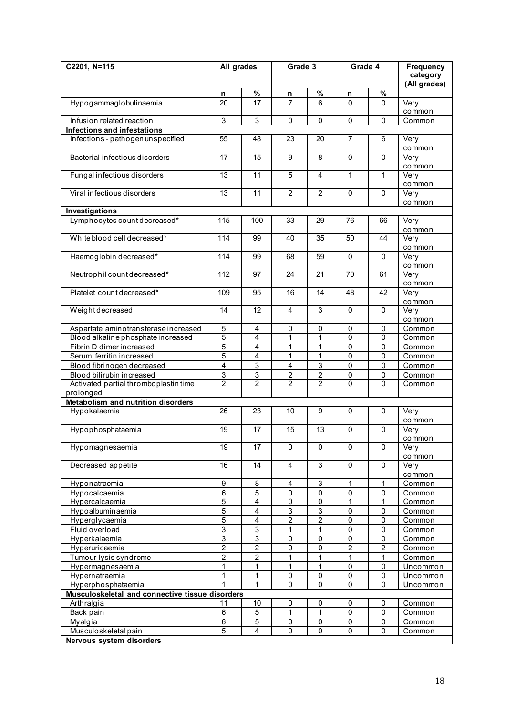| C2201, N=115                                       | All grades                   |                           | Grade 3                   |                           | Grade 4           |                | Frequency<br>category<br>(All grades) |
|----------------------------------------------------|------------------------------|---------------------------|---------------------------|---------------------------|-------------------|----------------|---------------------------------------|
|                                                    | n                            | $\%$                      | n                         | $\%$                      | n                 | $\%$           |                                       |
| Hypogammaglobulinaemia                             | 20                           | 17                        | $\overline{7}$            | 6                         | $\mathbf 0$       | $\Omega$       | Very<br>common                        |
| Infusion related reaction                          | 3                            | 3                         | $\mathbf 0$               | $\mathbf 0$               | 0                 | $\mathbf 0$    | Common                                |
| Infections and infestations                        |                              |                           |                           |                           |                   |                |                                       |
| Infections - pathogen unspecified                  | 55                           | 48                        | 23                        | 20                        | $\overline{7}$    | 6              | Very<br>common                        |
| Bacterial infectious disorders                     | 17                           | 15                        | 9                         | 8                         | $\Omega$          | $\mathbf{0}$   | Very<br>common                        |
| Fungal infectious disorders                        | 13                           | 11                        | 5                         | $\overline{4}$            | $\mathbf{1}$      | $\mathbf{1}$   | Very<br>common                        |
| Viral infectious disorders                         | 13                           | 11                        | $\overline{2}$            | $\overline{2}$            | $\pmb{0}$         | $\mathbf{0}$   | Very<br>common                        |
| Investigations                                     |                              |                           |                           |                           |                   |                |                                       |
| Lymphocytes count decreased*                       | 115                          | 100                       | 33                        | 29                        | 76                | 66             | Very                                  |
|                                                    |                              |                           |                           |                           |                   |                | common                                |
| White blood cell decreased*                        | 114                          | 99                        | 40                        | $\overline{35}$           | 50                | 44             | Very<br>common                        |
| Haemoglobin decreased*                             | 114                          | 99                        | 68                        | 59                        | $\Omega$          | $\mathbf{0}$   | Very<br>common                        |
| Neutrophil count decreased*                        | 112                          | 97                        | 24                        | 21                        | 70                | 61             | Very<br>common                        |
| Platelet count decreased*                          | 109                          | 95                        | 16                        | 14                        | 48                | 42             | Very<br>common                        |
| Weightdecreased                                    | 14                           | 12                        | 4                         | 3                         | $\pmb{0}$         | $\mathbf{0}$   | Very<br>common                        |
| Aspartate aminotransferase increased               | 5                            | 4                         | $\mathbf 0$               | $\mathbf 0$               | 0                 | $\mathbf 0$    | Common                                |
| Blood alkaline phosphate increased                 | 5                            | 4                         | 1                         | $\mathbf{1}$              | 0                 | $\mathbf 0$    | Common                                |
| Fibrin D dimer increased                           | 5                            | 4                         | 1                         | 1                         | 0                 | 0              | Common                                |
| Serum ferritin increased                           | $\overline{5}$               | 4                         | 1                         | 1                         | $\overline{0}$    | 0              | Common                                |
| Blood fibrinogen decreased                         | $\overline{4}$               | 3                         | 4                         | 3                         | 0                 | 0              | Common                                |
| Blood bilirubin increased                          | $\overline{3}$               | 3                         | $\overline{c}$            | $\overline{c}$            | 0                 | 0              | Common                                |
| Activated partial thromboplastin time<br>prolonged | $\overline{2}$               | $\overline{2}$            | $\overline{2}$            | $\overline{2}$            | $\Omega$          | $\Omega$       | Common                                |
| Metabolism and nutrition disorders                 |                              |                           |                           |                           |                   |                |                                       |
| Hypokalaemia                                       | 26                           | 23                        | 10                        | 9                         | $\mathbf 0$       | $\mathbf 0$    | Very                                  |
|                                                    |                              |                           |                           |                           |                   |                | common                                |
| Hypophosphataemia                                  | 19                           | 17                        | 15                        | 13                        | $\pmb{0}$         | $\mathbf 0$    | Very<br>common                        |
| Hypomagnesaemia                                    | $\overline{19}$              | 17                        | 0                         | $\Omega$                  | 0                 | $\mathbf 0$    | Very<br>common                        |
| Decreased appetite                                 | 16                           | 14                        | $\overline{4}$            | 3                         | $\mathbf 0$       | $\mathbf 0$    | Very<br>common                        |
| Hyponatraemia                                      | $\overline{9}$               | 8                         | 4                         | 3                         | 1                 | 1              | Common                                |
| Hypocalcaemia                                      | $\overline{6}$               | $\overline{5}$            | 0                         | $\mathbf 0$               | $\mathsf 0$       | 0              | Common                                |
| Hypercalcaemia                                     | 5                            | $\overline{4}$            | $\overline{0}$            | $\mathbf 0$               | $\mathbf{1}$      | 1              | Common                                |
| Hypoalbuminaemia                                   | $\overline{5}$               | 4                         | $\ensuremath{\mathsf{3}}$ | $\ensuremath{\mathsf{3}}$ | $\pmb{0}$         | 0              | Common                                |
| Hyperglycaemia                                     | 5                            | 4                         | $\boldsymbol{2}$          | $\overline{2}$            | $\overline{0}$    | 0              | Common                                |
| Fluid overload                                     | $\overline{3}$               | $\ensuremath{\mathsf{3}}$ | 1                         | $\mathbf 1$               | $\pmb{0}$         | 0              | Common                                |
| Hyperkalaemia                                      | $\overline{3}$               | $\overline{3}$            | $\pmb{0}$                 | $\mathbf 0$               | $\mathsf 0$       | $\pmb{0}$      | Common                                |
| Hyperuricaemia                                     | $\overline{2}$               | $\overline{2}$            | $\overline{0}$            | $\overline{0}$            | $\overline{2}$    | $\overline{c}$ | Common                                |
| Tumour lysis syndrome                              | $\overline{\mathbf{c}}$<br>1 | $\boldsymbol{2}$<br>1     | 1<br>1                    | 1<br>1                    | $\mathbf{1}$<br>0 | 1<br>0         | Common                                |
| Hypermagnesaemia<br>Hypernatraemia                 | 1                            | 1                         | 0                         | $\pmb{0}$                 | $\pmb{0}$         | $\pmb{0}$      | Uncommon<br>Uncommon                  |
| Hyperphosphataemia                                 |                              | 1                         | $\mathbf 0$               | $\mathbf{0}$              | 0                 | $\mathbf 0$    | Uncommon                              |
| Musculoskeletal and connective tissue disorders    |                              |                           |                           |                           |                   |                |                                       |
| Arthralgia                                         | 11                           | 10                        | 0                         | 0                         | 0                 | 0              | Common                                |
| Back pain                                          | 6                            | 5                         | 1                         | 1                         | 0                 | 0              | Common                                |
| Myalgia                                            | 6                            | 5                         | 0                         | $\pmb{0}$                 | $\pmb{0}$         | $\mathbf 0$    | Common                                |
| Musculoskeletal pain                               | $\overline{5}$               | 4                         | 0                         | $\mathbf 0$               | 0                 | 0              | Common                                |
| <b>Nervous system disorders</b>                    |                              |                           |                           |                           |                   |                |                                       |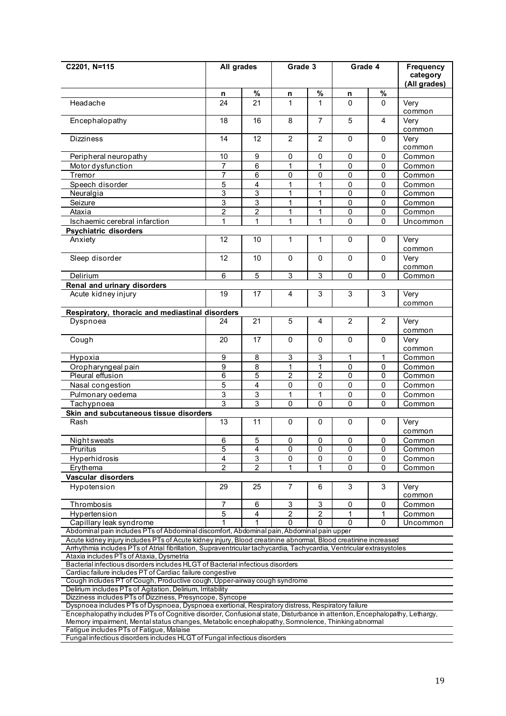| C2201, N=115                                                                                                                                                                                                                   | All grades<br>Grade 3 |                | Grade 4        |                | <b>Frequency</b><br>category<br>(All grades) |                |                |  |
|--------------------------------------------------------------------------------------------------------------------------------------------------------------------------------------------------------------------------------|-----------------------|----------------|----------------|----------------|----------------------------------------------|----------------|----------------|--|
|                                                                                                                                                                                                                                | n                     | $\%$           | n              | $\%$           | n                                            | %              |                |  |
| Headache                                                                                                                                                                                                                       | 24                    | 21             | 1              | 1              | 0                                            | $\mathbf 0$    | Very<br>common |  |
| Encephalopathy                                                                                                                                                                                                                 | 18                    | 16             | 8              | $\overline{7}$ | 5                                            | 4              | Very<br>common |  |
| <b>Dizziness</b>                                                                                                                                                                                                               | 14                    | 12             | $\overline{2}$ | $\overline{2}$ | 0                                            | 0              | Very<br>common |  |
| Peripheral neuropathy                                                                                                                                                                                                          | 10                    | 9              | 0              | 0              | 0                                            | 0              | Common         |  |
| Motor dysfunction                                                                                                                                                                                                              | $\overline{7}$        | $\,6$          | 1              | $\mathbf{1}$   | 0                                            | 0              | Common         |  |
| Tremor                                                                                                                                                                                                                         | 7                     | 6              | $\overline{0}$ | 0              | $\overline{0}$                               | 0              | Common         |  |
| Speech disorder                                                                                                                                                                                                                | 5                     | 4              | 1              | 1              | 0                                            | 0              | Common         |  |
| Neuralgia                                                                                                                                                                                                                      | 3                     | 3              | 1              | 1              | 0                                            | 0              | Common         |  |
| Seizure                                                                                                                                                                                                                        | 3                     | 3              | 1              | 1              | 0                                            | 0              | Common         |  |
| Ataxia                                                                                                                                                                                                                         | $\overline{2}$        | $\overline{2}$ | 1              | $\mathbf{1}$   | 0                                            | 0              | Common         |  |
| Ischaemic cerebral infarction                                                                                                                                                                                                  | 1                     | $\mathbf 1$    | 1              | $\mathbf{1}$   | 0                                            | 0              | Uncommon       |  |
| <b>Psychiatric disorders</b>                                                                                                                                                                                                   |                       |                |                |                |                                              |                |                |  |
| Anxiety                                                                                                                                                                                                                        | 12                    | 10             | 1              | 1              | 0                                            | 0              | Very<br>common |  |
| Sleep disorder                                                                                                                                                                                                                 | 12                    | 10             | $\mathbf{0}$   | $\Omega$       | $\Omega$                                     | 0              | Very<br>common |  |
| Delirium                                                                                                                                                                                                                       | 6                     | $\overline{5}$ | $\overline{3}$ | $\overline{3}$ | 0                                            | 0              | Common         |  |
| Renal and urinary disorders                                                                                                                                                                                                    |                       |                |                |                |                                              |                |                |  |
| Acute kidney injury                                                                                                                                                                                                            | $\overline{19}$       | 17             | $\overline{4}$ | 3              | $\overline{3}$                               | 3              | Very<br>common |  |
| Respiratory, thoracic and mediastinal disorders                                                                                                                                                                                |                       |                |                |                |                                              |                |                |  |
| Dyspnoea                                                                                                                                                                                                                       | 24                    | 21             | $\overline{5}$ | 4              | $\overline{2}$                               | $\overline{2}$ | Very<br>common |  |
| Cough                                                                                                                                                                                                                          | 20                    | 17             | $\mathbf{0}$   | $\Omega$       | $\Omega$                                     | $\Omega$       | Very<br>common |  |
| Hypoxia                                                                                                                                                                                                                        | 9                     | 8              | $\overline{3}$ | $\overline{3}$ | 1                                            | 1              | Common         |  |
| Oropharyngeal pain                                                                                                                                                                                                             | 9                     | 8              | 1              | $\mathbf{1}$   | $\pmb{0}$                                    | 0              | Common         |  |
| Pleural effusion                                                                                                                                                                                                               | $\overline{6}$        | $\overline{5}$ | $\overline{2}$ | $\overline{2}$ | 0                                            | 0              | Common         |  |
| Nasal congestion                                                                                                                                                                                                               | 5                     | 4              | $\pmb{0}$      | 0              | 0                                            | 0              | Common         |  |
| Pulmonary oedema                                                                                                                                                                                                               | 3                     | 3              | 1              | $\mathbf{1}$   | 0                                            | 0              | Common         |  |
| 3<br>3<br>0<br>0<br>0<br>0<br>Tachypnoea<br>Common                                                                                                                                                                             |                       |                |                |                |                                              |                |                |  |
| Skin and subcutaneous tissue disorders                                                                                                                                                                                         |                       |                |                |                |                                              |                |                |  |
| Rash                                                                                                                                                                                                                           | $\overline{13}$       | 11             | 0              | 0              | 0                                            | 0              | Very<br>common |  |
| <b>Night sweats</b>                                                                                                                                                                                                            | 6                     | 5              | $\Omega$       | 0              | 0                                            | 0              | Common         |  |
| Pruritus                                                                                                                                                                                                                       | 5                     | 4              | 0              | $\pmb{0}$      | $\pmb{0}$                                    | 0              | Common         |  |
| Hyperhidrosis                                                                                                                                                                                                                  | 4                     | 3              | 0              | 0              | 0                                            | 0              | Common         |  |
| Erythema                                                                                                                                                                                                                       | $\overline{2}$        | $\mathfrak{p}$ |                |                | $\Omega$                                     | 0              | Common         |  |
| Vascular disorders                                                                                                                                                                                                             |                       |                |                |                |                                              |                |                |  |
| Hypotension                                                                                                                                                                                                                    | 29                    | 25             | $\overline{7}$ | 6              | 3                                            | 3              | Very<br>common |  |
| Thrombosis                                                                                                                                                                                                                     | 7                     | 6              | 3              | 3              | 0                                            | 0              | Common         |  |
| Hypertension                                                                                                                                                                                                                   | $\overline{5}$        | 4              | $\overline{2}$ | $\overline{c}$ | 1                                            | 1              | Common         |  |
| Capillary leak syndrome                                                                                                                                                                                                        |                       |                | 0              | $\Omega$       | 0                                            | $\overline{0}$ | Uncommon       |  |
| Abdominal pain includes PTs of Abdominal discomfort, Abdominal pain, Abdominal pain upper                                                                                                                                      |                       |                |                |                |                                              |                |                |  |
| Acute kidney injury includes PTs of Acute kidney injury, Blood creatinine abnormal, Blood creatinine increased                                                                                                                 |                       |                |                |                |                                              |                |                |  |
| Arrhythmia includes PTs of Atrial fibrillation, Supraventricular tachycardia, Tachycardia, Ventricular extrasystoles                                                                                                           |                       |                |                |                |                                              |                |                |  |
| Ataxia includes PTs of Ataxia, Dysmetria<br>Bacterial infectious disorders includes HLGT of Bacterial infectious disorders                                                                                                     |                       |                |                |                |                                              |                |                |  |
| Cardiac failure includes PT of Cardiac failure congestive                                                                                                                                                                      |                       |                |                |                |                                              |                |                |  |
| Cough includes PT of Cough, Productive cough, Upper-airway cough syndrome                                                                                                                                                      |                       |                |                |                |                                              |                |                |  |
| Delirium includes PTs of Agitation, Delirium, Irritability                                                                                                                                                                     |                       |                |                |                |                                              |                |                |  |
| Dizziness includes PTs of Dizziness, Presyncope, Syncope                                                                                                                                                                       |                       |                |                |                |                                              |                |                |  |
| Dyspnoea includes PTs of Dyspnoea, Dyspnoea exertional, Respiratory distress, Respiratory failure                                                                                                                              |                       |                |                |                |                                              |                |                |  |
| Encephalopathy includes PTs of Cognitive disorder, Confusional state, Disturbance in attention, Encephalopathy, Lethargy,<br>Memory impairment, Mental status changes, Metabolic encephalopathy, Somnolence, Thinking abnormal |                       |                |                |                |                                              |                |                |  |

Fatigue includes PTs of Fatigue, Malaise

Fungal infectious disorders includes HLGT of Fungal infectious disorders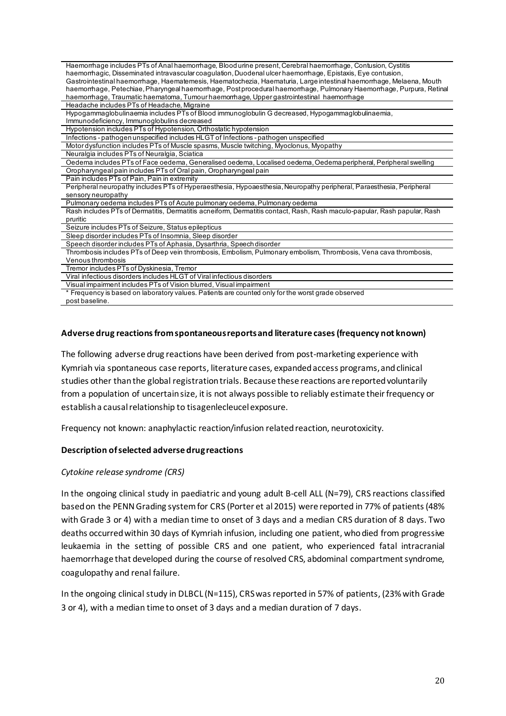| Haemorrhage includes PTs of Anal haemorrhage, Blood urine present, Cerebral haemorrhage, Contusion, Cystitis             |
|--------------------------------------------------------------------------------------------------------------------------|
| haemorrhagic, Disseminated intravascular coagulation, Duodenal ulcer haemorrhage, Epistaxis, Eye contusion,              |
| Gastrointestinal haemorrhage, Haematemesis, Haematochezia, Haematuria, Large intestinal haemorrhage, Melaena, Mouth      |
| haemorrhage, Petechiae, Pharyngeal haemorrhage, Postprocedural haemorrhage, Pulmonary Haemorrhage, Purpura, Retinal      |
| haemorrhage, Traumatic haematoma, Tumour haemorrhage, Upper gastrointestinal haemorrhage                                 |
| Headache includes PTs of Headache, Migraine                                                                              |
| Hypogammaglobulinaemia includes PTs of Blood immunoglobulin G decreased, Hypogammaglobulinaemia,                         |
| Immunodeficiency, Immunoglobulins decreased                                                                              |
| Hypotension includes PTs of Hypotension, Orthostatic hypotension                                                         |
| Infections - pathogen unspecified includes HLGT of Infections - pathogen unspecified                                     |
| Motor dysfunction includes PTs of Muscle spasms, Muscle twitching, Myoclonus, Myopathy                                   |
| Neuralgia includes PTs of Neuralgia, Sciatica                                                                            |
| Oedema includes PTs of Face oedema, Generalised oedema, Localised oedema, Oedema peripheral, Peripheral swelling         |
| Oropharyngeal pain includes PTs of Oral pain, Oropharyngeal pain                                                         |
| Pain includes PTs of Pain, Pain in extremity                                                                             |
| Peripheral neuropathy includes PTs of Hyperaesthesia, Hypoaesthesia, Neuropathy peripheral, Paraesthesia, Peripheral     |
| sensory neuropathy                                                                                                       |
| Pulmonary oedema includes PTs of Acute pulmonary oedema, Pulmonary oedema                                                |
| Rash includes PTs of Dermatitis, Dermatitis acneiform, Dermatitis contact, Rash, Rash maculo-papular, Rash papular, Rash |
| pruritic                                                                                                                 |
| Seizure includes PTs of Seizure, Status epilepticus                                                                      |
| Sleep disorder includes PTs of Insomnia, Sleep disorder                                                                  |
| Speech disorder includes PTs of Aphasia, Dysarthria, Speech disorder                                                     |
| Thrombosis includes PTs of Deep vein thrombosis, Embolism, Pulmonary embolism, Thrombosis, Vena cava thrombosis,         |
| Venous thrombosis                                                                                                        |
| Tremor includes PTs of Dyskinesia, Tremor                                                                                |
| Viral infectious disorders includes HLGT of Viral infectious disorders                                                   |
| Visual impairment includes PTs of Vision blurred, Visual impairment                                                      |
| * Frequency is based on laboratory values. Patients are counted only for the worst grade observed                        |
| post baseline.                                                                                                           |

#### **Adverse drug reactions from spontaneous reports and literature cases (frequency not known)**

The following adverse drug reactions have been derived from post-marketing experience with Kymriah via spontaneous case reports, literature cases, expanded access programs, and clinical studies other than the global registration trials. Because these reactions are reported voluntarily from a population of uncertain size, it is not always possible to reliably estimate their frequency or establish a causal relationship to tisagenlecleucel exposure.

Frequency not known: anaphylactic reaction/infusion related reaction, neurotoxicity.

#### **Description of selected adverse drug reactions**

#### *Cytokine release syndrome (CRS)*

In the ongoing clinical study in paediatric and young adult B-cell ALL (N=79), CRS reactions classified based on the PENN Grading system for CRS (Porter et al 2015) were reported in 77% of patients (48% with Grade 3 or 4) with a median time to onset of 3 days and a median CRS duration of 8 days. Two deaths occurred within 30 days of Kymriah infusion, including one patient, who died from progressive leukaemia in the setting of possible CRS and one patient, who experienced fatal intracranial haemorrhage that developed during the course of resolved CRS, abdominal compartment syndrome, coagulopathy and renal failure.

In the ongoing clinical study in DLBCL (N=115), CRS was reported in 57% of patients, (23% with Grade 3 or 4), with a median time to onset of 3 days and a median duration of 7 days.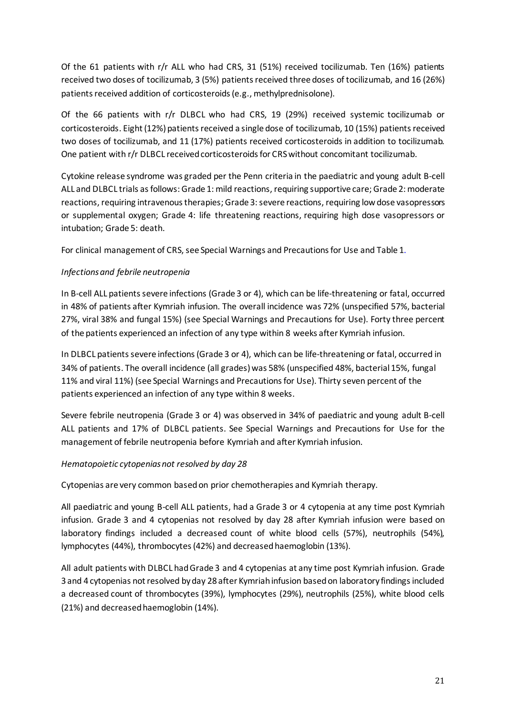Of the 61 patients with r/r ALL who had CRS, 31 (51%) received tocilizumab. Ten (16%) patients received two doses of tocilizumab, 3 (5%) patients received three doses of tocilizumab, and 16 (26%) patients received addition of corticosteroids (e.g., methylprednisolone).

Of the 66 patients with r/r DLBCL who had CRS, 19 (29%) received systemic tocilizumab or corticosteroids. Eight(12%) patients received a single dose of tocilizumab, 10 (15%) patients received two doses of tocilizumab, and 11 (17%) patients received corticosteroids in addition to tocilizumab. One patient with r/r DLBCL received corticosteroids for CRS without concomitant tocilizumab.

Cytokine release syndrome was graded per the Penn criteria in the paediatric and young adult B-cell ALL and DLBCL trials as follows: Grade 1: mild reactions, requiring supportive care; Grade 2: moderate reactions, requiring intravenous therapies; Grade 3: severe reactions, requiring low dose vasopressors or supplemental oxygen; Grade 4: life threatening reactions, requiring high dose vasopressors or intubation; Grade 5: death.

For clinical management of CRS, see Special Warnings and Precautions for Use and Table 1.

# *Infections and febrile neutropenia*

In B-cell ALL patients severe infections (Grade 3 or 4), which can be life-threatening or fatal, occurred in 48% of patients after Kymriah infusion. The overall incidence was 72% (unspecified 57%, bacterial 27%, viral 38% and fungal 15%) (see Special Warnings and Precautions for Use). Forty three percent of the patients experienced an infection of any type within 8 weeks after Kymriah infusion.

In DLBCL patients severe infections (Grade 3 or 4), which can be life-threatening or fatal, occurred in 34% of patients. The overall incidence (all grades) was 58% (unspecified 48%, bacterial 15%, fungal 11% and viral 11%) (see Special Warnings and Precautions for Use). Thirty seven percent of the patients experienced an infection of any type within 8 weeks.

Severe febrile neutropenia (Grade 3 or 4) was observed in 34% of paediatric and young adult B-cell ALL patients and 17% of DLBCL patients. See Special Warnings and Precautions for Use for the management of febrile neutropenia before Kymriah and after Kymriah infusion.

# *Hematopoietic cytopenias not resolved by day 28*

Cytopenias are very common based on prior chemotherapies and Kymriah therapy.

All paediatric and young B-cell ALL patients, had a Grade 3 or 4 cytopenia at any time post Kymriah infusion. Grade 3 and 4 cytopenias not resolved by day 28 after Kymriah infusion were based on laboratory findings included a decreased count of white blood cells (57%), neutrophils (54%), lymphocytes (44%), thrombocytes(42%) and decreased haemoglobin (13%).

All adult patients with DLBCL had Grade 3 and 4 cytopenias at any time post Kymriah infusion. Grade 3 and 4 cytopenias not resolved by day 28 after Kymriah infusion based on laboratory findings included a decreased count of thrombocytes (39%), lymphocytes (29%), neutrophils (25%), white blood cells (21%) and decreased haemoglobin (14%).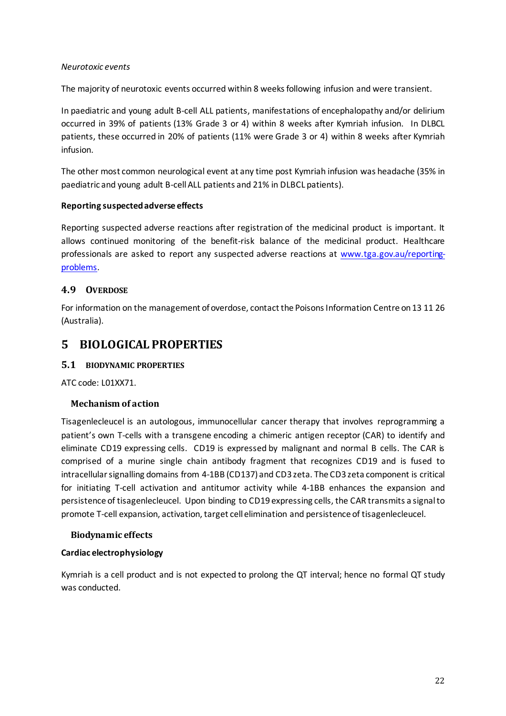### *Neurotoxic events*

The majority of neurotoxic events occurred within 8 weeks following infusion and were transient.

In paediatric and young adult B-cell ALL patients, manifestations of encephalopathy and/or delirium occurred in 39% of patients (13% Grade 3 or 4) within 8 weeks after Kymriah infusion. In DLBCL patients, these occurred in 20% of patients (11% were Grade 3 or 4) within 8 weeks after Kymriah infusion.

The other most common neurological event at any time post Kymriah infusion was headache (35% in paediatric and young adult B-cell ALL patients and 21% in DLBCL patients).

# **Reporting suspected adverse effects**

Reporting suspected adverse reactions after registration of the medicinal product is important. It allows continued monitoring of the benefit-risk balance of the medicinal product. Healthcare professionals are asked to report any suspected adverse reactions at www.tga.gov.au/reportingproblems.

# **4.9 OVERDOSE**

For information on the management of overdose, contact the Poisons Information Centre on 13 11 26 (Australia).

# **5 BIOLOGICAL PROPERTIES**

# **5.1 BIODYNAMIC PROPERTIES**

ATC code: L01XX71.

# **Mechanism of action**

Tisagenlecleucel is an autologous, immunocellular cancer therapy that involves reprogramming a patient's own T-cells with a transgene encoding a chimeric antigen receptor (CAR) to identify and eliminate CD19 expressing cells. CD19 is expressed by malignant and normal B cells. The CAR is comprised of a murine single chain antibody fragment that recognizes CD19 and is fused to intracellular signalling domains from 4-1BB (CD137) and CD3 zeta. The CD3 zeta component is critical for initiating T-cell activation and antitumor activity while 4-1BB enhances the expansion and persistence of tisagenlecleucel. Upon binding to CD19 expressing cells, the CAR transmits a signal to promote T-cell expansion, activation, target cell elimination and persistence of tisagenlecleucel.

# **Biodynamic effects**

# **Cardiac electrophysiology**

Kymriah is a cell product and is not expected to prolong the QT interval; hence no formal QT study was conducted.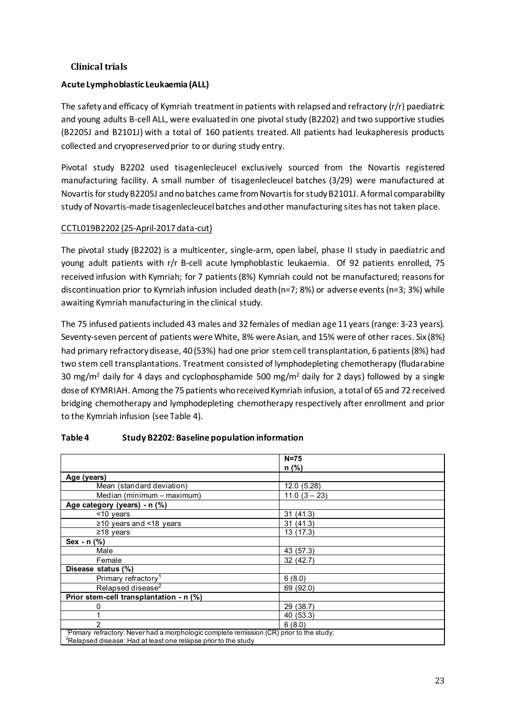# **Clinical trials**

# **Acute Lymphoblastic Leukaemia (ALL)**

The safety and efficacy of Kymriah treatment in patients with relapsed and refractory (r/r) paediatric and young adults B-cell ALL, were evaluated in one pivotal study (B2202) and two supportive studies (B2205J and B2101J) with a total of 160 patients treated. All patients had leukapheresis products collected and cryopreserved prior to or during study entry.

Pivotal study B2202 used tisagenlecleucel exclusively sourced from the Novartis registered manufacturing facility. A small number of tisagenlecleucel batches (3/29) were manufactured at Novartis for study B2205J and no batches came from Novartis for study B2101J. A formal comparability study of Novartis-made tisagenlecleucel batches and other manufacturing sites has not taken place.

# CCTL019B2202 (25-April-2017 data-cut)

The pivotal study (B2202) is a multicenter, single-arm, open label, phase II study in paediatric and young adult patients with r/r B-cell acute lymphoblastic leukaemia. Of 92 patients enrolled, 75 received infusion with Kymriah; for 7 patients (8%) Kymriah could not be manufactured; reasons for discontinuation prior to Kymriah infusion included death (n=7; 8%) or adverse events (n=3; 3%) while awaiting Kymriah manufacturing in the clinical study.

The 75 infused patients included 43 males and 32 females of median age 11 years (range: 3-23 years). Seventy-seven percent of patients were White, 8% were Asian, and 15% were of other races. Six (8%) had primary refractory disease, 40 (53%) had one prior stem cell transplantation, 6 patients (8%) had two stem cell transplantations. Treatment consisted of lymphodepleting chemotherapy (fludarabine 30 mg/m<sup>2</sup> daily for 4 days and cyclophosphamide 500 mg/m<sup>2</sup> daily for 2 days) followed by a single dose of KYMRIAH. Among the 75 patients who received Kymriah infusion, a total of 65 and 72 received bridging chemotherapy and lymphodepleting chemotherapy respectively after enrollment and prior to the Kymriah infusion (see Table 4).

|                                                                                                                                                                                                                                                                                                                            | $N=75$         |  |
|----------------------------------------------------------------------------------------------------------------------------------------------------------------------------------------------------------------------------------------------------------------------------------------------------------------------------|----------------|--|
|                                                                                                                                                                                                                                                                                                                            |                |  |
|                                                                                                                                                                                                                                                                                                                            | $n$ (%)        |  |
| Age (years)                                                                                                                                                                                                                                                                                                                |                |  |
| Mean (standard deviation)                                                                                                                                                                                                                                                                                                  | 12.0 (5.28)    |  |
| Median (minimum – maximum)                                                                                                                                                                                                                                                                                                 | $11.0(3 - 23)$ |  |
| Age category (years) - n (%)                                                                                                                                                                                                                                                                                               |                |  |
| $<$ 10 years                                                                                                                                                                                                                                                                                                               | 31(41.3)       |  |
| ≥10 years and <18 years                                                                                                                                                                                                                                                                                                    | 31(41.3)       |  |
| ≥18 years                                                                                                                                                                                                                                                                                                                  | 13(17.3)       |  |
| Sex - $n$ $\left(\% \right)$                                                                                                                                                                                                                                                                                               |                |  |
| Male                                                                                                                                                                                                                                                                                                                       | 43 (57.3)      |  |
| Female                                                                                                                                                                                                                                                                                                                     | 32 (42.7)      |  |
| Disease status (%)                                                                                                                                                                                                                                                                                                         |                |  |
| Primary refractory <sup>1</sup>                                                                                                                                                                                                                                                                                            | 6(8.0)         |  |
| Relapsed disease <sup>2</sup>                                                                                                                                                                                                                                                                                              | 69 (92.0)      |  |
| Prior stem-cell transplantation - n (%)                                                                                                                                                                                                                                                                                    |                |  |
| 0                                                                                                                                                                                                                                                                                                                          | 29 (38.7)      |  |
|                                                                                                                                                                                                                                                                                                                            | 40 (53.3)      |  |
| 2                                                                                                                                                                                                                                                                                                                          | 6(8.0)         |  |
| 'Primary refractory: Never had a morphologic complete remission (CR) prior to the study;<br>$2$ m a factor of the compact of the structure of the compact of the compact of the state of the compact of the compact of the compact of the compact of the compact of the compact of the compact of the compact of the compa |                |  |

# **Table 4 Study B2202: Baseline population information**

 $^2$ Relapsed disease: Had at least one relapse prior to the study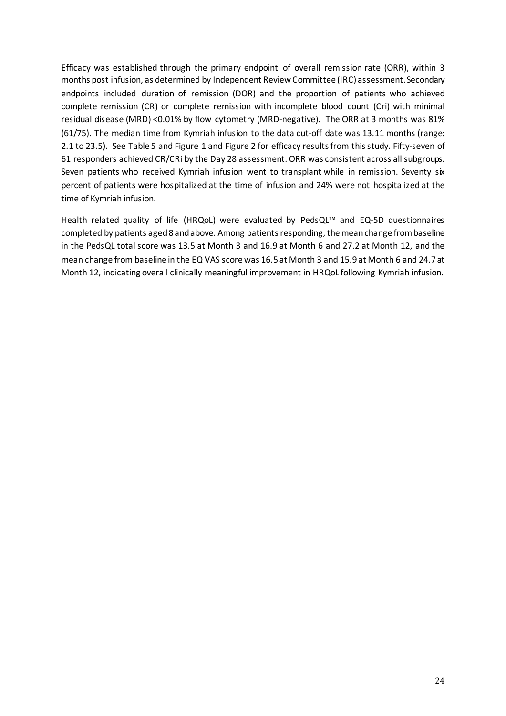Efficacy was established through the primary endpoint of overall remission rate (ORR), within 3 months post infusion, as determined by Independent Review Committee (IRC) assessment. Secondary endpoints included duration of remission (DOR) and the proportion of patients who achieved complete remission (CR) or complete remission with incomplete blood count (Cri) with minimal residual disease (MRD) <0.01% by flow cytometry (MRD-negative). The ORR at 3 months was 81% (61/75). The median time from Kymriah infusion to the data cut-off date was 13.11 months (range: 2.1 to 23.5). See Table 5 and Figure 1 and Figure 2 for efficacy results from this study. Fifty-seven of 61 responders achieved CR/CRi by the Day 28 assessment. ORR was consistent across all subgroups. Seven patients who received Kymriah infusion went to transplant while in remission. Seventy six percent of patients were hospitalized at the time of infusion and 24% were not hospitalized at the time of Kymriah infusion.

Health related quality of life (HRQoL) were evaluated by PedsQL™ and EQ-5D questionnaires completed by patients aged 8 and above. Among patients responding, the mean change from baseline in the PedsQL total score was 13.5 at Month 3 and 16.9 at Month 6 and 27.2 at Month 12, and the mean change from baseline in the EQ VAS score was 16.5 at Month 3 and 15.9 at Month 6 and 24.7 at Month 12, indicating overall clinically meaningful improvement in HRQoL following Kymriah infusion.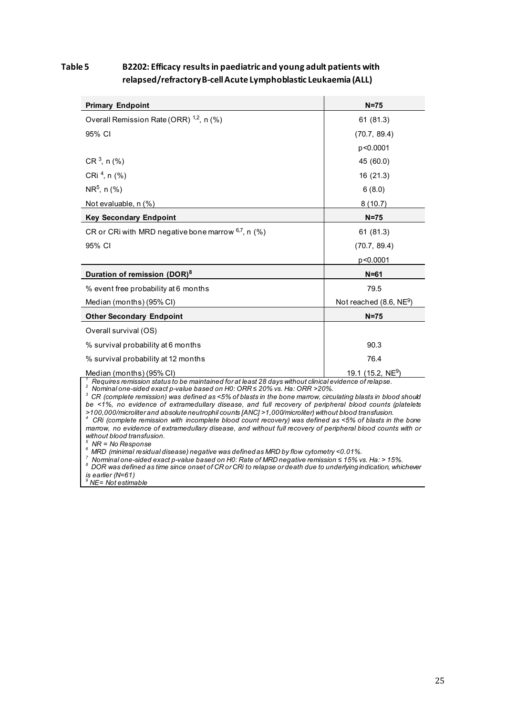# **Table 5 B2202: Efficacy results in paediatric and young adult patients with relapsed/refractory B-cell Acute Lymphoblastic Leukaemia (ALL)**

| <b>Primary Endpoint</b>                                                                                                                                                                 | $N=75$                        |  |  |  |  |
|-----------------------------------------------------------------------------------------------------------------------------------------------------------------------------------------|-------------------------------|--|--|--|--|
| Overall Remission Rate (ORR) <sup>1,2</sup> , n (%)                                                                                                                                     | 61(81.3)                      |  |  |  |  |
| 95% CI                                                                                                                                                                                  | (70.7, 89.4)                  |  |  |  |  |
|                                                                                                                                                                                         | p<0.0001                      |  |  |  |  |
| $CR3$ , n (%)                                                                                                                                                                           | 45 (60.0)                     |  |  |  |  |
| CRi $4$ , n $(%)$                                                                                                                                                                       | 16 (21.3)                     |  |  |  |  |
| $NR^5$ , n (%)                                                                                                                                                                          | 6(8.0)                        |  |  |  |  |
| Not evaluable, n (%)                                                                                                                                                                    | 8(10.7)                       |  |  |  |  |
| <b>Key Secondary Endpoint</b>                                                                                                                                                           | $N=75$                        |  |  |  |  |
| CR or CRi with MRD negative bone marrow 6,7, n (%)                                                                                                                                      | 61 (81.3)                     |  |  |  |  |
| 95% CI                                                                                                                                                                                  | (70.7, 89.4)                  |  |  |  |  |
|                                                                                                                                                                                         | p<0.0001                      |  |  |  |  |
| Duration of remission (DOR) <sup>8</sup>                                                                                                                                                | $N = 61$                      |  |  |  |  |
| % event free probability at 6 months                                                                                                                                                    | 79.5                          |  |  |  |  |
| Median (months) (95% CI)                                                                                                                                                                | Not reached $(8.6, NE9)$      |  |  |  |  |
| <b>Other Secondary Endpoint</b>                                                                                                                                                         | $N=75$                        |  |  |  |  |
| Overall survival (OS)                                                                                                                                                                   |                               |  |  |  |  |
| % survival probability at 6 months                                                                                                                                                      | 90.3                          |  |  |  |  |
| % survival probability at 12 months                                                                                                                                                     | 76.4                          |  |  |  |  |
| Median (months) (95% CI)                                                                                                                                                                | 19.1 (15.2, NE <sup>9</sup> ) |  |  |  |  |
| Requires remission status to be maintained for at least 28 days without clinical evidence of relapse.<br>2<br>Nominal one-sided exact p-value based on H0: ORR ≤ 20% vs. Ha: ORR > 20%. |                               |  |  |  |  |

*3 CR (complete remission) was defined as <5% of blasts in the bone marrow, circulating blasts in blood should* 

*be <1%, no evidence of extramedullary disease, and full recovery of peripheral blood counts (platelets*  >100,000/microliter and absolute neutrophil counts [ANC] >1,000/microliter) without blood transfusion.<br><sup>4</sup> CRi (complete remission with incomplete blood count recovery) was defined as <5% of blasts in the bone

*marrow, no evidence of extramedullary disease, and without full recovery of peripheral blood counts with or without blood transfusion. 5*

 *NR = No Response <sup>6</sup>MRD (minimal residual disease) negative was defined as MRD by flow cytometry <0.01%.* 

MIND (imminal one-sided exact p-value based on H0: Rate of MRD negative remission ≤ 15% vs. Ha: > 15%.<br><sup>8</sup> DOR was defined as time since onset of CR or CRi to relapse or death due to underlying indication, whichever

*is earlier (N=61) <sup>9</sup> NE= Not estimable*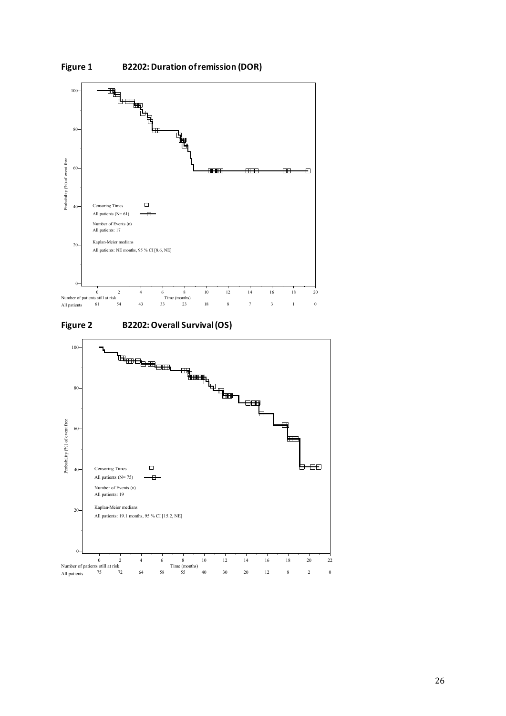

**Figure 2 B2202: Overall Survival (OS)** 



**Figure 1 B2202: Duration of remission (DOR)**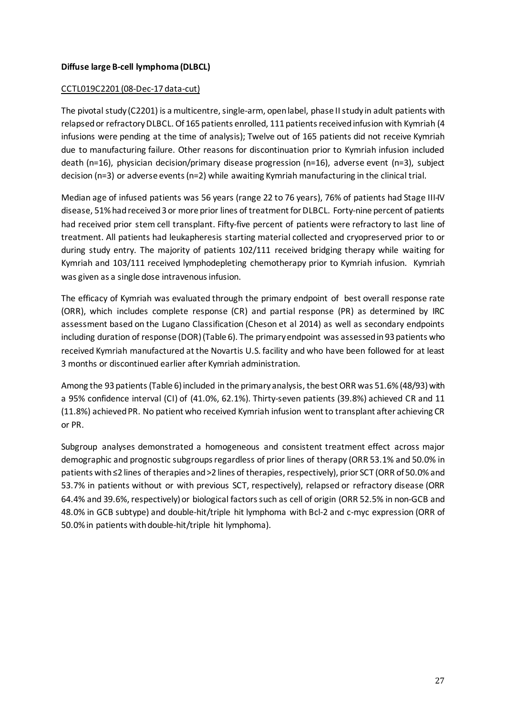# **Diffuse large B-cell lymphoma (DLBCL)**

#### CCTL019C2201 (08-Dec-17 data-cut)

The pivotal study (C2201) is a multicentre, single-arm, open label, phase II study in adult patients with relapsed or refractory DLBCL. Of 165 patients enrolled, 111 patients received infusion with Kymriah (4 infusions were pending at the time of analysis); Twelve out of 165 patients did not receive Kymriah due to manufacturing failure. Other reasons for discontinuation prior to Kymriah infusion included death (n=16), physician decision/primary disease progression (n=16), adverse event (n=3), subject decision (n=3) or adverse events (n=2) while awaiting Kymriah manufacturing in the clinical trial.

Median age of infused patients was 56 years (range 22 to 76 years), 76% of patients had Stage III-IV disease, 51% had received 3 or more prior lines of treatment for DLBCL. Forty-nine percent of patients had received prior stem cell transplant. Fifty-five percent of patients were refractory to last line of treatment. All patients had leukapheresis starting material collected and cryopreserved prior to or during study entry. The majority of patients 102/111 received bridging therapy while waiting for Kymriah and 103/111 received lymphodepleting chemotherapy prior to Kymriah infusion. Kymriah was given as a single dose intravenous infusion.

The efficacy of Kymriah was evaluated through the primary endpoint of best overall response rate (ORR), which includes complete response (CR) and partial response (PR) as determined by IRC assessment based on the Lugano Classification (Cheson et al 2014) as well as secondary endpoints including duration of response (DOR)(Table 6). The primary endpoint was assessed in 93 patients who received Kymriah manufactured at the Novartis U.S. facility and who have been followed for at least 3 months or discontinued earlier after Kymriah administration.

Among the 93 patients (Table 6) included in the primary analysis, the best ORR was 51.6% (48/93) with a 95% confidence interval (CI) of (41.0%, 62.1%). Thirty-seven patients (39.8%) achieved CR and 11 (11.8%) achieved PR. No patient who received Kymriah infusion went to transplant after achieving CR or PR.

Subgroup analyses demonstrated a homogeneous and consistent treatment effect across major demographic and prognostic subgroups regardless of prior lines of therapy (ORR 53.1% and 50.0% in patients with ≤2 lines of therapies and >2 lines of therapies, respectively), prior SCT (ORR of 50.0% and 53.7% in patients without or with previous SCT, respectively), relapsed or refractory disease (ORR 64.4% and 39.6%, respectively) or biological factors such as cell of origin (ORR 52.5% in non-GCB and 48.0% in GCB subtype) and double-hit/triple hit lymphoma with Bcl-2 and c-myc expression (ORR of 50.0% in patients with double-hit/triple hit lymphoma).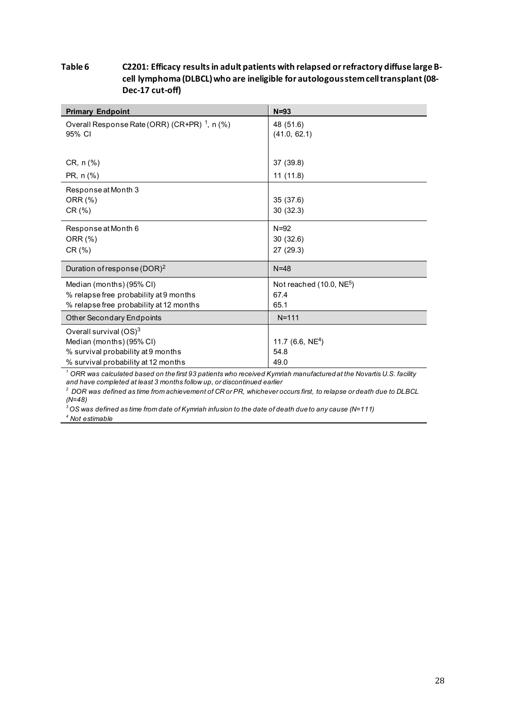### **Table 6 C2201: Efficacy results in adult patients with relapsed or refractory diffuse large Bcell lymphoma (DLBCL) who are ineligible for autologous stem cell transplant(08- Dec-17 cut-off)**

| <b>Primary Endpoint</b>                                  | $N = 93$                  |
|----------------------------------------------------------|---------------------------|
| Overall Response Rate (ORR) (CR+PR) <sup>1</sup> , n (%) | 48 (51.6)                 |
| 95% CI                                                   | (41.0, 62.1)              |
|                                                          |                           |
| CR, n (%)                                                | 37 (39.8)                 |
| PR, n (%)                                                | 11(11.8)                  |
| Response at Month 3                                      |                           |
| ORR (%)                                                  | 35 (37.6)                 |
| CR (%)                                                   | 30(32.3)                  |
| Response at Month 6                                      | $N=92$                    |
| ORR (%)                                                  | 30(32.6)                  |
| CR (%)                                                   | 27 (29.3)                 |
| Duration of response (DOR) <sup>2</sup>                  | $N=48$                    |
| Median (months) (95% CI)                                 | Not reached $(10.0, NE5)$ |
| % relapse free probability at 9 months                   | 67.4                      |
| % relapse free probability at 12 months                  | 65.1                      |
| <b>Other Secondary Endpoints</b>                         | $N = 111$                 |
| Overall survival $(OS)^3$                                |                           |
| Median (months) (95% CI)                                 | 11.7 (6.6, $NE^4$ )       |
| % survival probability at 9 months                       | 54.8                      |
| % survival probability at 12 months                      | 49.0                      |

*<sup>1</sup> ORR was calculated based on the first 93 patients who received Kymriah manufactured at the Novartis U.S. facility and have completed at least 3 months follow up, or discontinued earlier*

*<sup>2</sup> DOR was defined as time from achievement of CR or PR, whichever occurs first, to relapse or death due to DLBCL*

*(N=48) 3 OS was defined as time from date of Kymriah infusion to the date of death due to any cause (N=111) 4 Not estimable*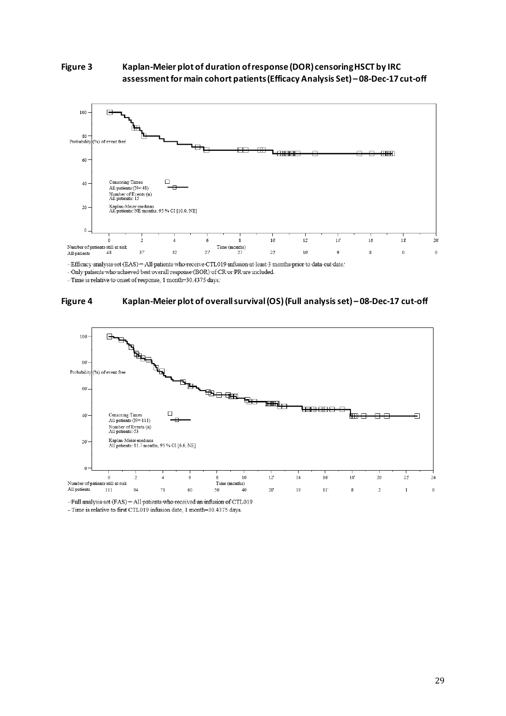



-Efficacy analysis set (EAS) = All patients who receive CTL019 infusion at least 3 months prior to data-cut date.

- Time is relative to onset of response, 1 month=30.4375 days.





- Full analysis set (FAS) = All patients who received an infusion of CTL019

- Time is relative to first CTL019 infusion date, 1 month=30.4375 days.

<sup>-</sup> Only patients who achieved best overall response (BOR) of CR or PR are included.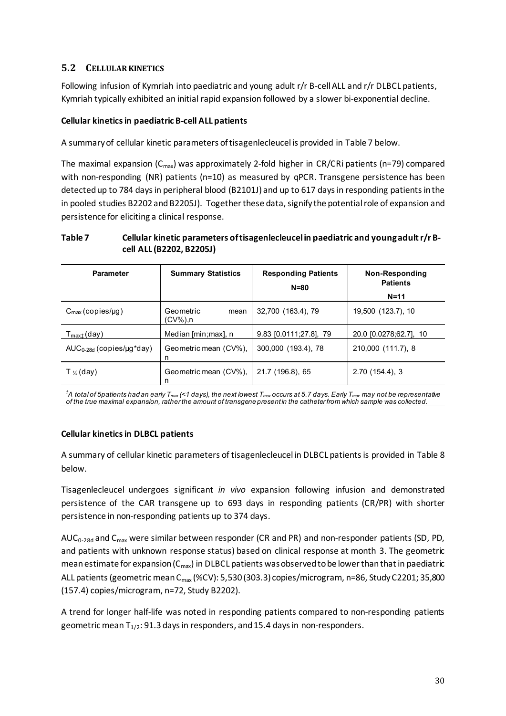# **5.2 CELLULAR KINETICS**

Following infusion of Kymriah into paediatric and young adult r/r B-cell ALL and r/r DLBCL patients, Kymriah typically exhibited an initial rapid expansion followed by a slower bi-exponential decline.

# **Cellular kinetics in paediatric B-cell ALL patients**

A summary of cellular kinetic parameters of tisagenlecleucel is provided in Table 7 below.

The maximal expansion  $(C_{\text{max}})$  was approximately 2-fold higher in CR/CRi patients (n=79) compared with non-responding (NR) patients (n=10) as measured by qPCR. Transgene persistence has been detected up to 784 days in peripheral blood (B2101J) and up to 617 days in responding patients in the in pooled studies B2202 and B2205J). Together these data, signify the potential role of expansion and persistence for eliciting a clinical response.

# **Table 7 Cellular kinetic parameters of tisagenlecleucel in paediatric and young adult r/r Bcell ALL (B2202, B2205J)**

| <b>Parameter</b>              | <b>Summary Statistics</b>         | <b>Responding Patients</b><br>$N = 80$ | Non-Responding<br><b>Patients</b><br>$N = 11$ |
|-------------------------------|-----------------------------------|----------------------------------------|-----------------------------------------------|
| $C_{\text{max}}$ (copies/µg)  | Geometric<br>mean<br>$(CV\%)$ , n | 32,700 (163.4), 79                     | 19,500 (123.7), 10                            |
| $T_{\text{max}\pm}$ (day)     | Median [min; max], n              | 9.83 [0.0111;27.8], 79                 | 20.0 [0.0278;62.7], 10                        |
| $AUC_{0-28d}$ (copies/µg*day) | Geometric mean (CV%),<br>n        | 300,000 (193.4), 78                    | 210,000 (111.7), 8                            |
| T $\frac{1}{2}$ (day)         | Geometric mean (CV%),<br>n        | 21.7 (196.8), 65                       | 2.70(154.4), 3                                |

*‡ A total of 5patients had an early Tmax (<1 days), the next lowest Tmax occurs at 5.7 days. Early Tmax may not be representative of the true maximal expansion, rather the amount of transgene present in the catheter from which sample was collected.*

# **Cellular kinetics in DLBCL patients**

A summary of cellular kinetic parameters of tisagenlecleucel in DLBCL patients is provided in Table 8 below.

Tisagenlecleucel undergoes significant *in vivo* expansion following infusion and demonstrated persistence of the CAR transgene up to 693 days in responding patients (CR/PR) with shorter persistence in non-responding patients up to 374 days.

AUC<sub>0-28d</sub> and C<sub>max</sub> were similar between responder (CR and PR) and non-responder patients (SD, PD, and patients with unknown response status) based on clinical response at month 3. The geometric mean estimate for expansion ( $C_{\text{max}}$ ) in DLBCL patients was observed to be lower than that in paediatric ALL patients (geometric mean C<sub>max</sub> (%CV): 5,530 (303.3) copies/microgram, n=86, Study C2201; 35,800 (157.4) copies/microgram, n=72, Study B2202).

A trend for longer half-life was noted in responding patients compared to non-responding patients geometric mean  $T_{1/2}$ : 91.3 days in responders, and 15.4 days in non-responders.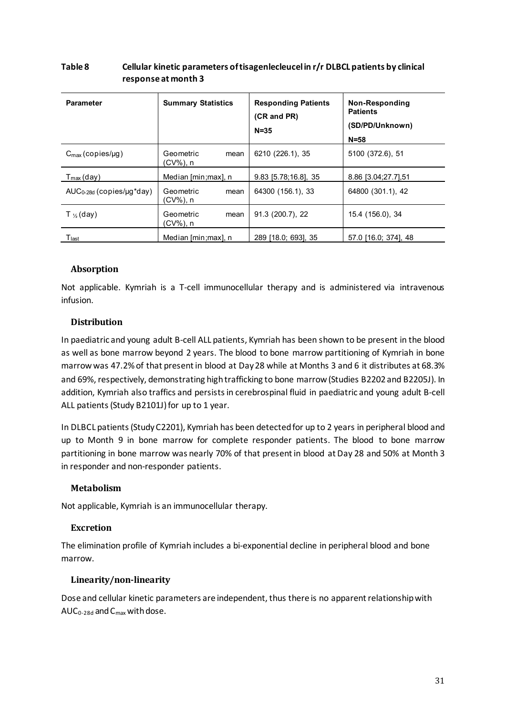| <b>Parameter</b>              | <b>Summary Statistics</b>         | <b>Responding Patients</b><br>(CR and PR)<br>$N = 35$ | Non-Responding<br><b>Patients</b><br>(SD/PD/Unknown)<br>$N = 58$ |
|-------------------------------|-----------------------------------|-------------------------------------------------------|------------------------------------------------------------------|
| $C_{\text{max}}$ (copies/µg)  | Geometric<br>mean<br>$(CV\%)$ , n | 6210 (226.1), 35                                      | 5100 (372.6), 51                                                 |
| $T_{\text{max}}$ (day)        | Median [min; max], n              | $9.83$ [5.78;16.8], 35                                | 8.86 [3.04;27.7],51                                              |
| $AUC_{0-28d}$ (copies/µg*day) | Geometric<br>mean<br>(CV%), n     | 64300 (156.1), 33                                     | 64800 (301.1), 42                                                |
| T $\frac{1}{2}$ (day)         | Geometric<br>mean<br>(CV%), n     | 91.3 (200.7), 22                                      | 15.4 (156.0), 34                                                 |
| $\mathsf{T}_{\mathsf{last}}$  | Median [min; max], n              | 289 [18.0; 693], 35                                   | 57.0 [16.0; 374], 48                                             |

### **Table 8 Cellular kinetic parameters of tisagenlecleucel in r/r DLBCL patients by clinical response at month 3**

# **Absorption**

Not applicable. Kymriah is a T-cell immunocellular therapy and is administered via intravenous infusion.

# **Distribution**

In paediatric and young adult B-cell ALL patients, Kymriah has been shown to be present in the blood as well as bone marrow beyond 2 years. The blood to bone marrow partitioning of Kymriah in bone marrow was 47.2% of that present in blood at Day 28 while at Months 3 and 6 it distributes at 68.3% and 69%, respectively, demonstrating high trafficking to bone marrow(Studies B2202 and B2205J). In addition, Kymriah also traffics and persists in cerebrospinal fluid in paediatric and young adult B-cell ALL patients (Study B2101J) for up to 1 year.

In DLBCL patients (Study C2201), Kymriah has been detected for up to 2 years in peripheral blood and up to Month 9 in bone marrow for complete responder patients. The blood to bone marrow partitioning in bone marrow was nearly 70% of that present in blood at Day 28 and 50% at Month 3 in responder and non-responder patients.

# **Metabolism**

Not applicable, Kymriah is an immunocellular therapy.

# **Excretion**

The elimination profile of Kymriah includes a bi-exponential decline in peripheral blood and bone marrow.

# **Linearity/non-linearity**

Dose and cellular kinetic parameters are independent, thus there is no apparent relationship with  $AUC_{0-28d}$  and  $C_{max}$  with dose.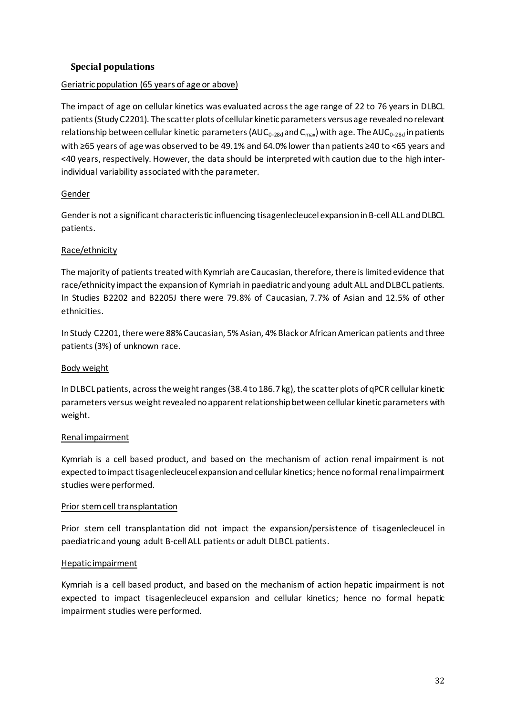# **Special populations**

# Geriatric population (65 years of age or above)

The impact of age on cellular kinetics was evaluated across the age range of 22 to 76 years in DLBCL patients (Study C2201). The scatter plots of cellular kinetic parameters versus age revealed no relevant relationship between cellular kinetic parameters ( $AUC_{0-28d}$  and  $C_{max}$ ) with age. The  $AUC_{0-28d}$  in patients with ≥65 years of age was observed to be 49.1% and 64.0% lower than patients ≥40 to <65 years and <40 years, respectively. However, the data should be interpreted with caution due to the high interindividual variability associated with the parameter.

# Gender

Gender is not a significant characteristic influencing tisagenlecleucel expansion in B-cell ALL and DLBCL patients.

# Race/ethnicity

The majority of patients treated with Kymriah are Caucasian, therefore, there is limited evidence that race/ethnicity impact the expansion of Kymriah in paediatric and young adult ALL and DLBCL patients. In Studies B2202 and B2205J there were 79.8% of Caucasian, 7.7% of Asian and 12.5% of other ethnicities.

In Study C2201, there were 88% Caucasian, 5% Asian, 4% Black or African American patients and three patients(3%) of unknown race.

# Body weight

In DLBCL patients, across the weight ranges (38.4 to 186.7 kg), the scatter plots of qPCR cellular kinetic parameters versus weight revealed no apparent relationship between cellular kinetic parameters with weight.

# Renal impairment

Kymriah is a cell based product, and based on the mechanism of action renal impairment is not expected to impact tisagenlecleucel expansion and cellular kinetics; hence no formal renal impairment studies were performed.

# Prior stem cell transplantation

Prior stem cell transplantation did not impact the expansion/persistence of tisagenlecleucel in paediatric and young adult B-cell ALL patients or adult DLBCL patients.

# Hepatic impairment

Kymriah is a cell based product, and based on the mechanism of action hepatic impairment is not expected to impact tisagenlecleucel expansion and cellular kinetics; hence no formal hepatic impairment studies were performed.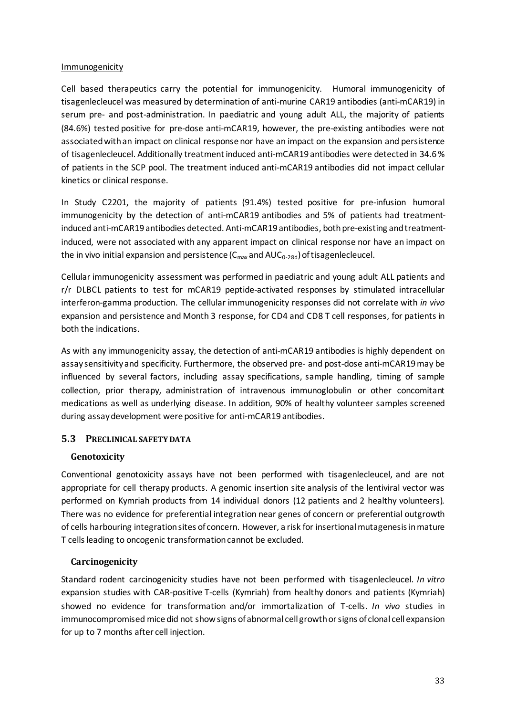### Immunogenicity

Cell based therapeutics carry the potential for immunogenicity. Humoral immunogenicity of tisagenlecleucel was measured by determination of anti-murine CAR19 antibodies (anti-mCAR19) in serum pre- and post-administration. In paediatric and young adult ALL, the majority of patients (84.6%) tested positive for pre-dose anti-mCAR19, however, the pre-existing antibodies were not associated with an impact on clinical response nor have an impact on the expansion and persistence of tisagenlecleucel. Additionally treatment induced anti-mCAR19 antibodies were detected in 34.6 % of patients in the SCP pool. The treatment induced anti-mCAR19 antibodies did not impact cellular kinetics or clinical response.

In Study C2201, the majority of patients (91.4%) tested positive for pre-infusion humoral immunogenicity by the detection of anti-mCAR19 antibodies and 5% of patients had treatmentinduced anti-mCAR19 antibodies detected. Anti-mCAR19 antibodies, both pre-existing and treatmentinduced, were not associated with any apparent impact on clinical response nor have an impact on the in vivo initial expansion and persistence  $(C_{\text{max}}$  and  $AUC_{0-28d}$ ) of tisagenlecleucel.

Cellular immunogenicity assessment was performed in paediatric and young adult ALL patients and r/r DLBCL patients to test for mCAR19 peptide-activated responses by stimulated intracellular interferon-gamma production. The cellular immunogenicity responses did not correlate with *in vivo* expansion and persistence and Month 3 response, for CD4 and CD8 T cell responses, for patients in both the indications.

As with any immunogenicity assay, the detection of anti-mCAR19 antibodies is highly dependent on assay sensitivity and specificity. Furthermore, the observed pre- and post-dose anti-mCAR19 may be influenced by several factors, including assay specifications, sample handling, timing of sample collection, prior therapy, administration of intravenous immunoglobulin or other concomitant medications as well as underlying disease. In addition, 90% of healthy volunteer samples screened during assay development were positive for anti-mCAR19 antibodies.

# **5.3 PRECLINICAL SAFETY DATA**

# **Genotoxicity**

Conventional genotoxicity assays have not been performed with tisagenlecleucel, and are not appropriate for cell therapy products. A genomic insertion site analysis of the lentiviral vector was performed on Kymriah products from 14 individual donors (12 patients and 2 healthy volunteers). There was no evidence for preferential integration near genes of concern or preferential outgrowth of cells harbouring integration sites of concern. However, a risk for insertional mutagenesis in mature T cells leading to oncogenic transformation cannot be excluded.

# **Carcinogenicity**

Standard rodent carcinogenicity studies have not been performed with tisagenlecleucel. *In vitro* expansion studies with CAR-positive T-cells (Kymriah) from healthy donors and patients (Kymriah) showed no evidence for transformation and/or immortalization of T-cells. *In vivo* studies in immunocompromised mice did not show signs of abnormal cell growth or signs of clonal cell expansion for up to 7 months after cell injection.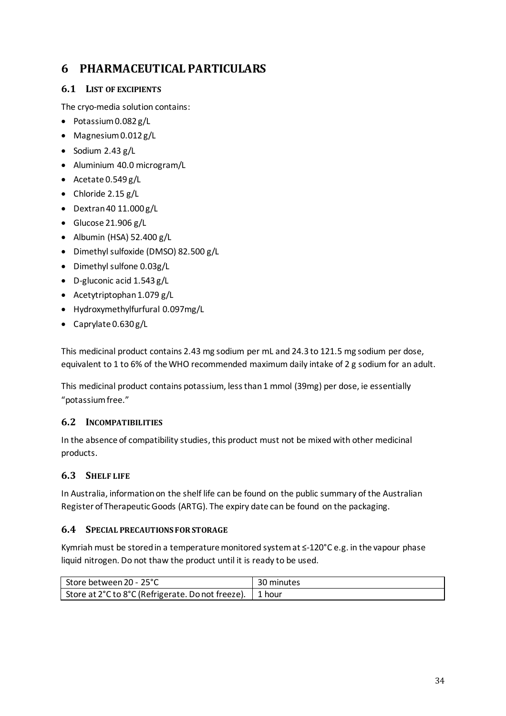# **6 PHARMACEUTICAL PARTICULARS**

# **6.1 LIST OF EXCIPIENTS**

The cryo-media solution contains:

- Potassium0.082 g/L
- Magnesium0.012 g/L
- Sodium 2.43 g/L
- Aluminium 40.0 microgram/L
- Acetate 0.549 g/L
- Chloride 2.15 g/L
- $\bullet$  Dextran 40 11.000 g/L
- Glucose 21.906 g/L
- Albumin (HSA)  $52.400$   $g/L$
- Dimethyl sulfoxide (DMSO) 82.500 g/L
- Dimethyl sulfone 0.03g/L
- D-gluconic acid 1.543 g/L
- Acetytriptophan  $1.079$  g/L
- Hydroxymethylfurfural 0.097mg/L
- Caprylate 0.630 g/L

This medicinal product contains 2.43 mg sodium per mL and 24.3 to 121.5 mg sodium per dose, equivalent to 1 to 6% of the WHO recommended maximum daily intake of 2 g sodium for an adult.

This medicinal product contains potassium, less than 1 mmol (39mg) per dose, ie essentially "potassium free."

# **6.2 INCOMPATIBILITIES**

In the absence of compatibility studies, this product must not be mixed with other medicinal products.

# **6.3 SHELF LIFE**

In Australia, information on the shelf life can be found on the public summary of the Australian Register of Therapeutic Goods (ARTG). The expiry date can be found on the packaging.

# **6.4 SPECIAL PRECAUTIONS FOR STORAGE**

Kymriah must be stored in a temperature monitored system at ≤-120°C e.g. in the vapour phase liquid nitrogen. Do not thaw the product until it is ready to be used.

| Store between 20 - 25°C                                  | 30 minutes |
|----------------------------------------------------------|------------|
| Store at 2°C to 8°C (Refrigerate. Do not freeze). 1 hour |            |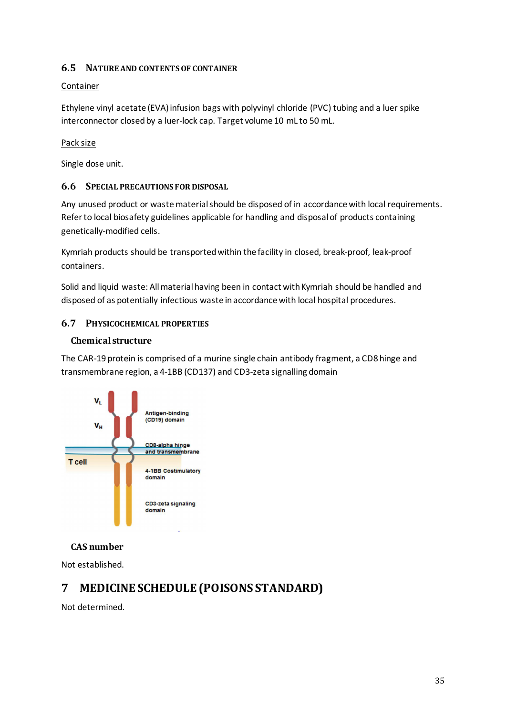# **6.5 NATURE AND CONTENTS OF CONTAINER**

# Container

Ethylene vinyl acetate (EVA) infusion bags with polyvinyl chloride (PVC) tubing and a luer spike interconnector closed by a luer-lock cap. Target volume 10 mL to 50 mL.

# Pack size

Single dose unit.

# **6.6 SPECIAL PRECAUTIONS FOR DISPOSAL**

Any unused product or waste material should be disposed of in accordance with local requirements. Refer to local biosafety guidelines applicable for handling and disposal of products containing genetically-modified cells.

Kymriah products should be transported within the facility in closed, break-proof, leak-proof containers.

Solid and liquid waste: All material having been in contact with Kymriah should be handled and disposed of as potentially infectious waste in accordance with local hospital procedures.

# **6.7 PHYSICOCHEMICAL PROPERTIES**

# **Chemical structure**

The CAR-19 protein is comprised of a murine single chain antibody fragment, a CD8 hinge and transmembrane region, a 4-1BB (CD137) and CD3-zeta signalling domain



# **CAS number**

Not established.

# **7 MEDICINE SCHEDULE (POISONS STANDARD)**

Not determined.